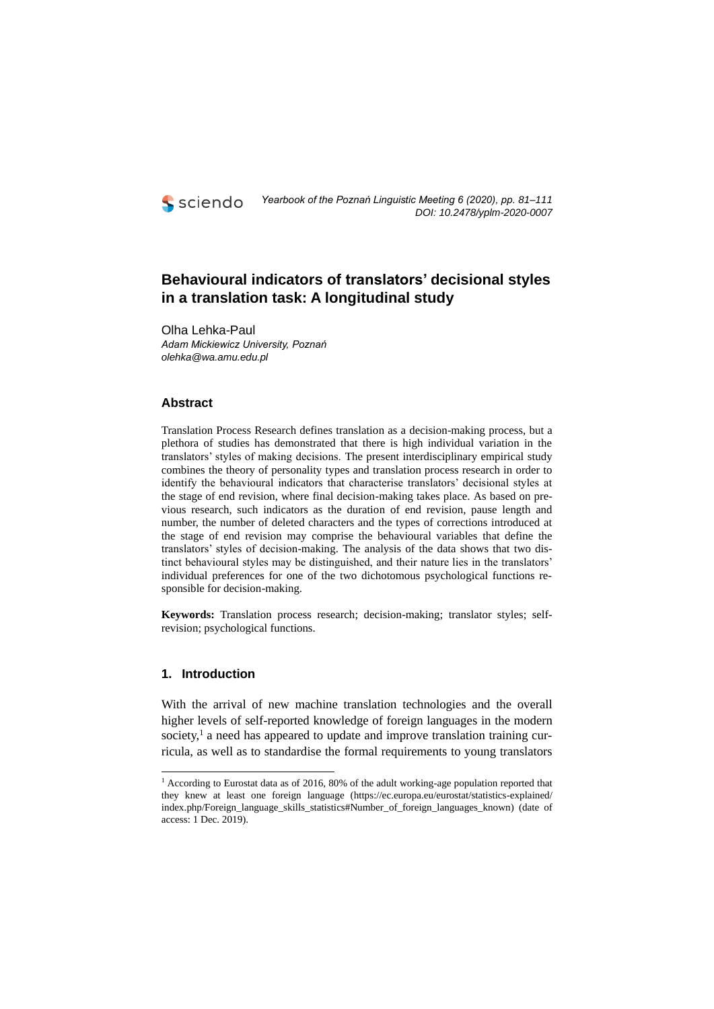

# **Behavioural indicators of translators' decisional styles in a translation task: A longitudinal study**

Olha Lehka-Paul *Adam Mickiewicz University, Poznań olehka@wa.amu.edu.pl*

## **Abstract**

Translation Process Research defines translation as a decision-making process, but a plethora of studies has demonstrated that there is high individual variation in the translators' styles of making decisions. The present interdisciplinary empirical study combines the theory of personality types and translation process research in order to identify the behavioural indicators that characterise translators' decisional styles at the stage of end revision, where final decision-making takes place. As based on previous research, such indicators as the duration of end revision, pause length and number, the number of deleted characters and the types of corrections introduced at the stage of end revision may comprise the behavioural variables that define the translators' styles of decision-making. The analysis of the data shows that two distinct behavioural styles may be distinguished, and their nature lies in the translators' individual preferences for one of the two dichotomous psychological functions responsible for decision-making.

**Keywords:** Translation process research; decision-making; translator styles; selfrevision; psychological functions.

## **1. Introduction**

With the arrival of new machine translation technologies and the overall higher levels of self-reported knowledge of foreign languages in the modern society,<sup>1</sup> a need has appeared to update and improve translation training curricula, as well as to standardise the formal requirements to young translators

<sup>&</sup>lt;sup>1</sup> According to Eurostat data as of 2016, 80% of the adult working-age population reported that they knew at least one foreign language (https://ec.europa.eu/eurostat/statistics-explained/ index.php/Foreign\_language\_skills\_statistics#Number\_of\_foreign\_languages\_known) (date of access: 1 Dec. 2019).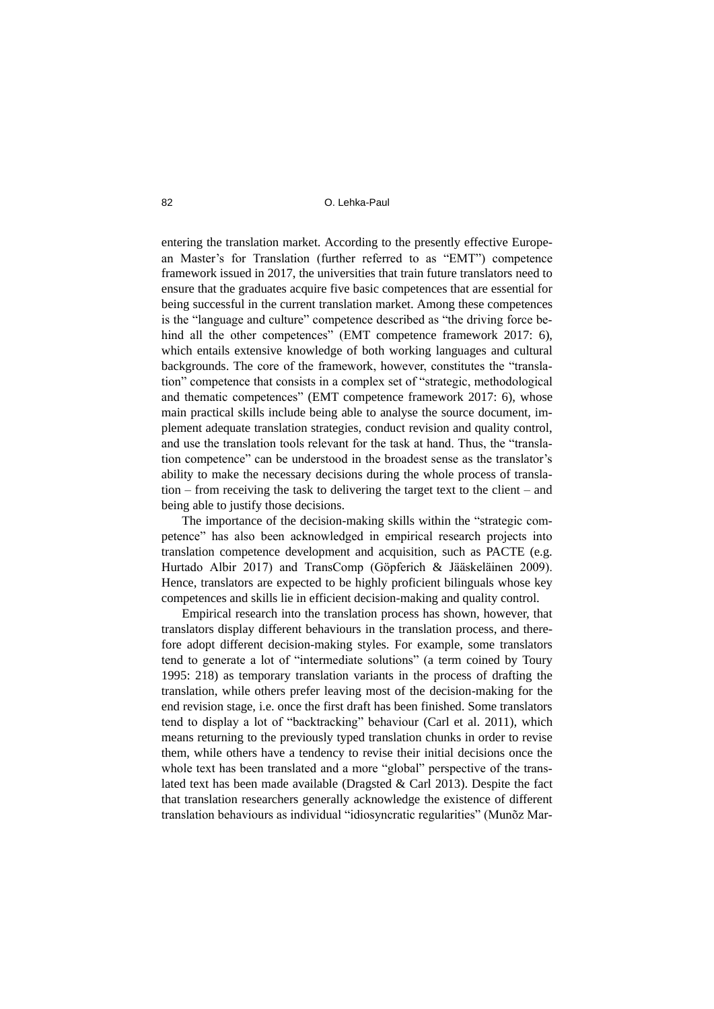entering the translation market. According to the presently effective European Master's for Translation (further referred to as "EMT") competence framework issued in 2017, the universities that train future translators need to ensure that the graduates acquire five basic competences that are essential for being successful in the current translation market. Among these competences is the "language and culture" competence described as "the driving force behind all the other competences" (EMT competence framework 2017: 6), which entails extensive knowledge of both working languages and cultural backgrounds. The core of the framework, however, constitutes the "translation" competence that consists in a complex set of "strategic, methodological and thematic competences" (EMT competence framework 2017: 6), whose main practical skills include being able to analyse the source document, implement adequate translation strategies, conduct revision and quality control, and use the translation tools relevant for the task at hand. Thus, the "translation competence" can be understood in the broadest sense as the translator's ability to make the necessary decisions during the whole process of translation – from receiving the task to delivering the target text to the client – and being able to justify those decisions.

The importance of the decision-making skills within the "strategic competence" has also been acknowledged in empirical research projects into translation competence development and acquisition, such as PACTE (e.g. Hurtado Albir 2017) and TransComp (Göpferich & Jääskeläinen 2009). Hence, translators are expected to be highly proficient bilinguals whose key competences and skills lie in efficient decision-making and quality control.

Empirical research into the translation process has shown, however, that translators display different behaviours in the translation process, and therefore adopt different decision-making styles. For example, some translators tend to generate a lot of "intermediate solutions" (a term coined by Toury 1995: 218) as temporary translation variants in the process of drafting the translation, while others prefer leaving most of the decision-making for the end revision stage, i.e. once the first draft has been finished. Some translators tend to display a lot of "backtracking" behaviour (Carl et al. 2011), which means returning to the previously typed translation chunks in order to revise them, while others have a tendency to revise their initial decisions once the whole text has been translated and a more "global" perspective of the translated text has been made available (Dragsted & Carl 2013). Despite the fact that translation researchers generally acknowledge the existence of different translation behaviours as individual "idiosyncratic regularities" (Munõz Mar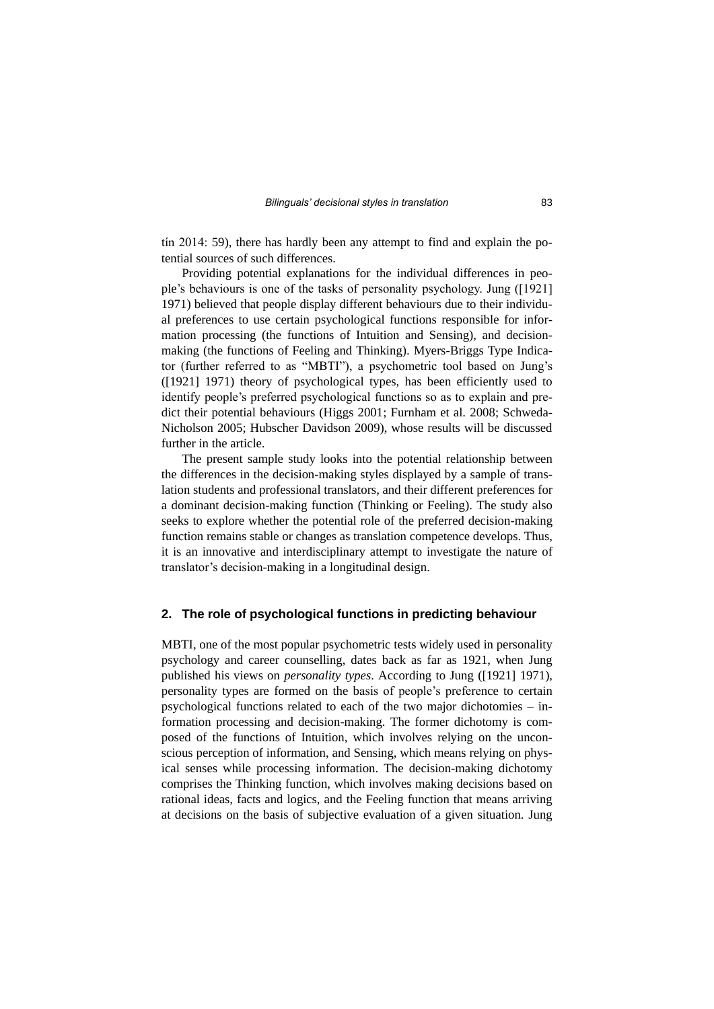tín 2014: 59), there has hardly been any attempt to find and explain the potential sources of such differences.

Providing potential explanations for the individual differences in people's behaviours is one of the tasks of personality psychology. Jung ([1921] 1971) believed that people display different behaviours due to their individual preferences to use certain psychological functions responsible for information processing (the functions of Intuition and Sensing), and decisionmaking (the functions of Feeling and Thinking). Myers-Briggs Type Indicator (further referred to as "MBTI"), a psychometric tool based on Jung's ([1921] 1971) theory of psychological types, has been efficiently used to identify people's preferred psychological functions so as to explain and predict their potential behaviours (Higgs 2001; Furnham et al. 2008; Schweda-Nicholson 2005; Hubscher Davidson 2009), whose results will be discussed further in the article.

The present sample study looks into the potential relationship between the differences in the decision-making styles displayed by a sample of translation students and professional translators, and their different preferences for a dominant decision-making function (Thinking or Feeling). The study also seeks to explore whether the potential role of the preferred decision-making function remains stable or changes as translation competence develops. Thus, it is an innovative and interdisciplinary attempt to investigate the nature of translator's decision-making in a longitudinal design.

### **2. The role of psychological functions in predicting behaviour**

MBTI, one of the most popular psychometric tests widely used in personality psychology and career counselling, dates back as far as 1921, when Jung published his views on *personality types*. According to Jung ([1921] 1971), personality types are formed on the basis of people's preference to certain psychological functions related to each of the two major dichotomies – information processing and decision-making. The former dichotomy is composed of the functions of Intuition, which involves relying on the unconscious perception of information, and Sensing, which means relying on physical senses while processing information. The decision-making dichotomy comprises the Thinking function, which involves making decisions based on rational ideas, facts and logics, and the Feeling function that means arriving at decisions on the basis of subjective evaluation of a given situation. Jung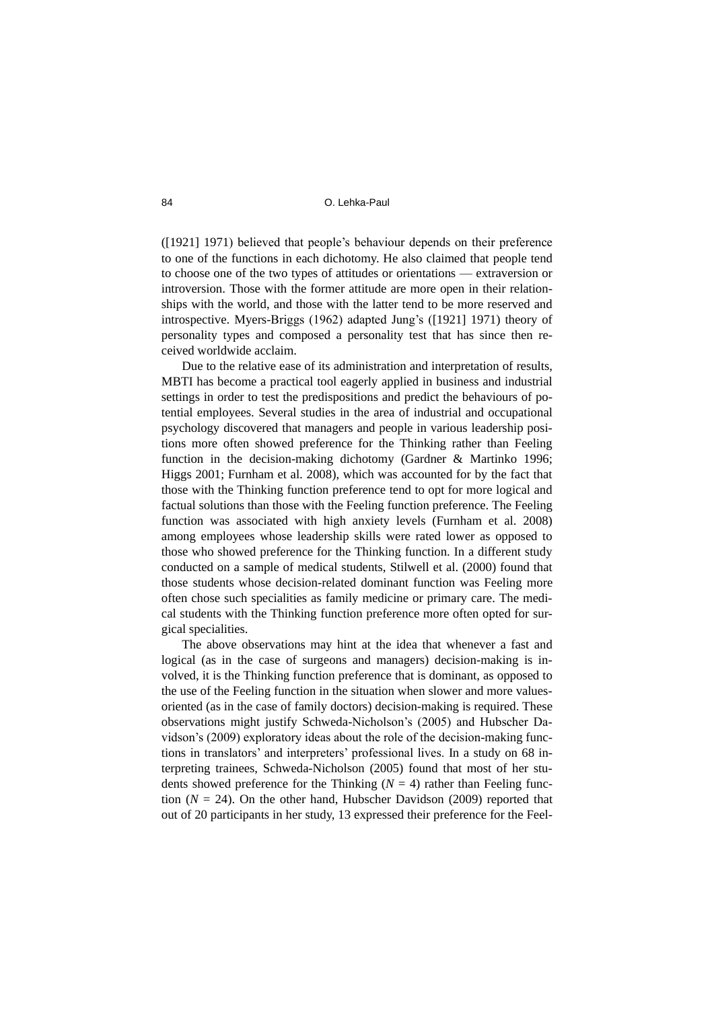([1921] 1971) believed that people's behaviour depends on their preference to one of the functions in each dichotomy. He also claimed that people tend to choose one of the two types of attitudes or orientations — extraversion or introversion. Those with the former attitude are more open in their relationships with the world, and those with the latter tend to be more reserved and introspective. Myers-Briggs (1962) adapted Jung's ([1921] 1971) theory of personality types and composed a personality test that has since then received worldwide acclaim.

Due to the relative ease of its administration and interpretation of results, MBTI has become a practical tool eagerly applied in business and industrial settings in order to test the predispositions and predict the behaviours of potential employees. Several studies in the area of industrial and occupational psychology discovered that managers and people in various leadership positions more often showed preference for the Thinking rather than Feeling function in the decision-making dichotomy (Gardner & Martinko 1996; Higgs 2001; Furnham et al. 2008), which was accounted for by the fact that those with the Thinking function preference tend to opt for more logical and factual solutions than those with the Feeling function preference. The Feeling function was associated with high anxiety levels (Furnham et al. 2008) among employees whose leadership skills were rated lower as opposed to those who showed preference for the Thinking function. In a different study conducted on a sample of medical students, Stilwell et al. (2000) found that those students whose decision-related dominant function was Feeling more often chose such specialities as family medicine or primary care. The medical students with the Thinking function preference more often opted for surgical specialities.

The above observations may hint at the idea that whenever a fast and logical (as in the case of surgeons and managers) decision-making is involved, it is the Thinking function preference that is dominant, as opposed to the use of the Feeling function in the situation when slower and more valuesoriented (as in the case of family doctors) decision-making is required. These observations might justify Schweda-Nicholson's (2005) and Hubscher Davidson's (2009) exploratory ideas about the role of the decision-making functions in translators' and interpreters' professional lives. In a study on 68 interpreting trainees, Schweda-Nicholson (2005) found that most of her students showed preference for the Thinking  $(N = 4)$  rather than Feeling function  $(N = 24)$ . On the other hand, Hubscher Davidson (2009) reported that out of 20 participants in her study, 13 expressed their preference for the Feel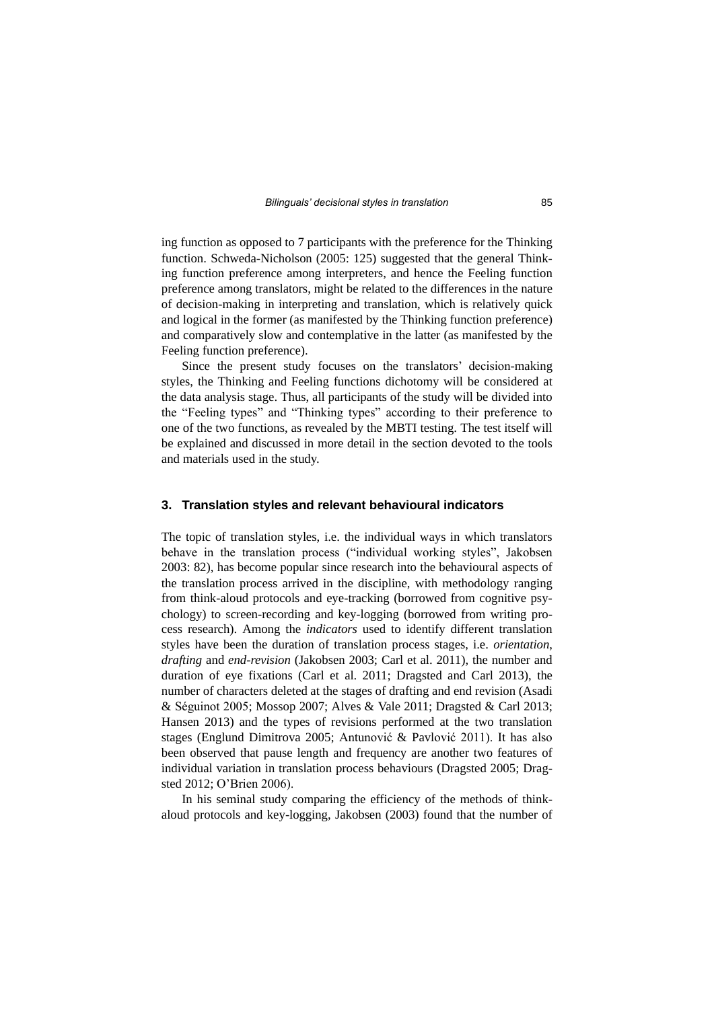ing function as opposed to 7 participants with the preference for the Thinking function. Schweda-Nicholson (2005: 125) suggested that the general Thinking function preference among interpreters, and hence the Feeling function preference among translators, might be related to the differences in the nature of decision-making in interpreting and translation, which is relatively quick and logical in the former (as manifested by the Thinking function preference) and comparatively slow and contemplative in the latter (as manifested by the Feeling function preference).

Since the present study focuses on the translators' decision-making styles, the Thinking and Feeling functions dichotomy will be considered at the data analysis stage. Thus, all participants of the study will be divided into the "Feeling types" and "Thinking types" according to their preference to one of the two functions, as revealed by the MBTI testing. The test itself will be explained and discussed in more detail in the section devoted to the tools and materials used in the study.

#### **3. Translation styles and relevant behavioural indicators**

The topic of translation styles, i.e. the individual ways in which translators behave in the translation process ("individual working styles", Jakobsen 2003: 82), has become popular since research into the behavioural aspects of the translation process arrived in the discipline, with methodology ranging from think-aloud protocols and eye-tracking (borrowed from cognitive psychology) to screen-recording and key-logging (borrowed from writing process research). Among the *indicators* used to identify different translation styles have been the duration of translation process stages, i.e. *orientation*, *drafting* and *end-revision* (Jakobsen 2003; Carl et al. 2011), the number and duration of eye fixations (Carl et al. 2011; Dragsted and Carl 2013), the number of characters deleted at the stages of drafting and end revision (Asadi & Séguinot 2005; Mossop 2007; Alves & Vale 2011; Dragsted & Carl 2013; Hansen 2013) and the types of revisions performed at the two translation stages (Englund Dimitrova 2005; Antunović & Pavlović 2011). It has also been observed that pause length and frequency are another two features of individual variation in translation process behaviours (Dragsted 2005; Dragsted 2012; O'Brien 2006).

In his seminal study comparing the efficiency of the methods of thinkaloud protocols and key-logging, Jakobsen (2003) found that the number of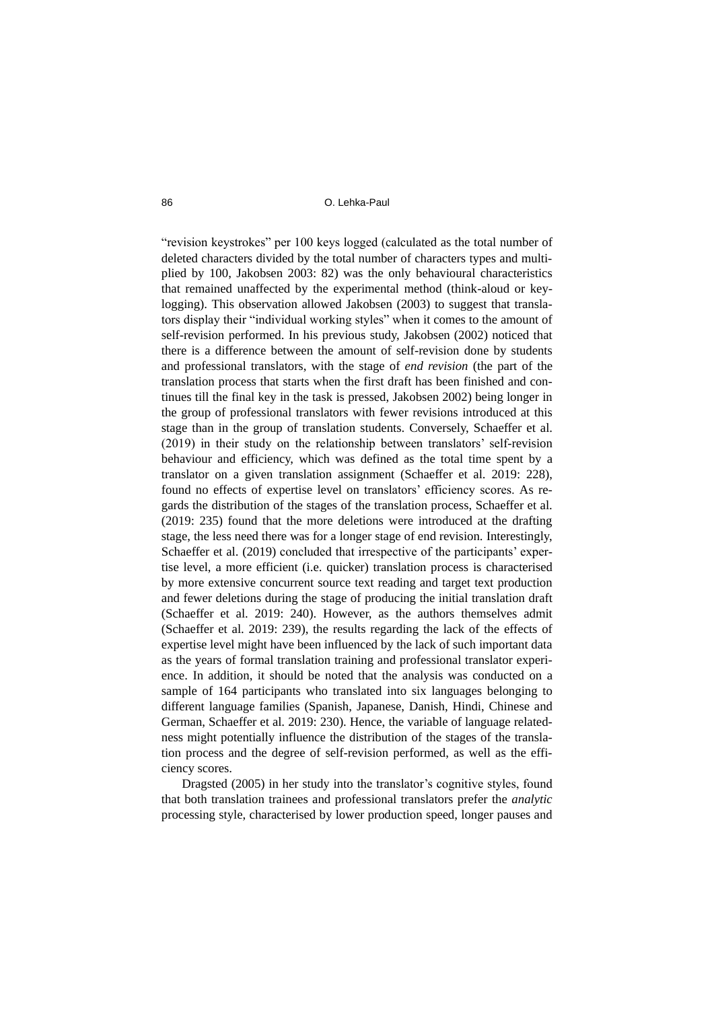"revision keystrokes" per 100 keys logged (calculated as the total number of deleted characters divided by the total number of characters types and multiplied by 100, Jakobsen 2003: 82) was the only behavioural characteristics that remained unaffected by the experimental method (think-aloud or keylogging). This observation allowed Jakobsen (2003) to suggest that translators display their "individual working styles" when it comes to the amount of self-revision performed. In his previous study, Jakobsen (2002) noticed that there is a difference between the amount of self-revision done by students and professional translators, with the stage of *end revision* (the part of the translation process that starts when the first draft has been finished and continues till the final key in the task is pressed, Jakobsen 2002) being longer in the group of professional translators with fewer revisions introduced at this stage than in the group of translation students. Conversely, Schaeffer et al. (2019) in their study on the relationship between translators' self-revision behaviour and efficiency, which was defined as the total time spent by a translator on a given translation assignment (Schaeffer et al. 2019: 228), found no effects of expertise level on translators' efficiency scores. As regards the distribution of the stages of the translation process, Schaeffer et al. (2019: 235) found that the more deletions were introduced at the drafting stage, the less need there was for a longer stage of end revision. Interestingly, Schaeffer et al. (2019) concluded that irrespective of the participants' expertise level, a more efficient (i.e. quicker) translation process is characterised by more extensive concurrent source text reading and target text production and fewer deletions during the stage of producing the initial translation draft (Schaeffer et al. 2019: 240). However, as the authors themselves admit (Schaeffer et al. 2019: 239), the results regarding the lack of the effects of expertise level might have been influenced by the lack of such important data as the years of formal translation training and professional translator experience. In addition, it should be noted that the analysis was conducted on a sample of 164 participants who translated into six languages belonging to different language families (Spanish, Japanese, Danish, Hindi, Chinese and German, Schaeffer et al. 2019: 230). Hence, the variable of language relatedness might potentially influence the distribution of the stages of the translation process and the degree of self-revision performed, as well as the efficiency scores.

Dragsted (2005) in her study into the translator's cognitive styles, found that both translation trainees and professional translators prefer the *analytic* processing style, characterised by lower production speed, longer pauses and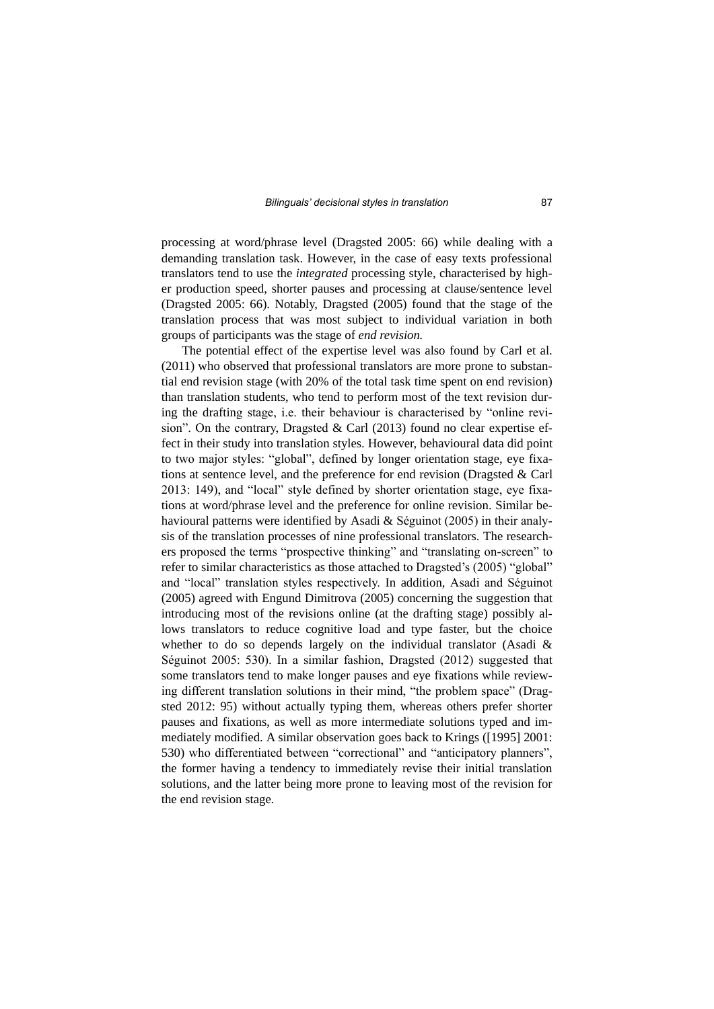processing at word/phrase level (Dragsted 2005: 66) while dealing with a demanding translation task. However, in the case of easy texts professional translators tend to use the *integrated* processing style, characterised by higher production speed, shorter pauses and processing at clause/sentence level (Dragsted 2005: 66). Notably, Dragsted (2005) found that the stage of the translation process that was most subject to individual variation in both groups of participants was the stage of *end revision.* 

The potential effect of the expertise level was also found by Carl et al. (2011) who observed that professional translators are more prone to substantial end revision stage (with 20% of the total task time spent on end revision) than translation students, who tend to perform most of the text revision during the drafting stage, i.e. their behaviour is characterised by "online revision". On the contrary, Dragsted & Carl (2013) found no clear expertise effect in their study into translation styles. However, behavioural data did point to two major styles: "global", defined by longer orientation stage, eye fixations at sentence level, and the preference for end revision (Dragsted & Carl 2013: 149), and "local" style defined by shorter orientation stage, eye fixations at word/phrase level and the preference for online revision. Similar behavioural patterns were identified by Asadi & Séguinot (2005) in their analysis of the translation processes of nine professional translators. The researchers proposed the terms "prospective thinking" and "translating on-screen" to refer to similar characteristics as those attached to Dragsted's (2005) "global" and "local" translation styles respectively. In addition, Asadi and Séguinot (2005) agreed with Engund Dimitrova (2005) concerning the suggestion that introducing most of the revisions online (at the drafting stage) possibly allows translators to reduce cognitive load and type faster, but the choice whether to do so depends largely on the individual translator (Asadi & Séguinot 2005: 530). In a similar fashion, Dragsted (2012) suggested that some translators tend to make longer pauses and eye fixations while reviewing different translation solutions in their mind, "the problem space" (Dragsted 2012: 95) without actually typing them, whereas others prefer shorter pauses and fixations, as well as more intermediate solutions typed and immediately modified. A similar observation goes back to Krings ([1995] 2001: 530) who differentiated between "correctional" and "anticipatory planners", the former having a tendency to immediately revise their initial translation solutions, and the latter being more prone to leaving most of the revision for the end revision stage.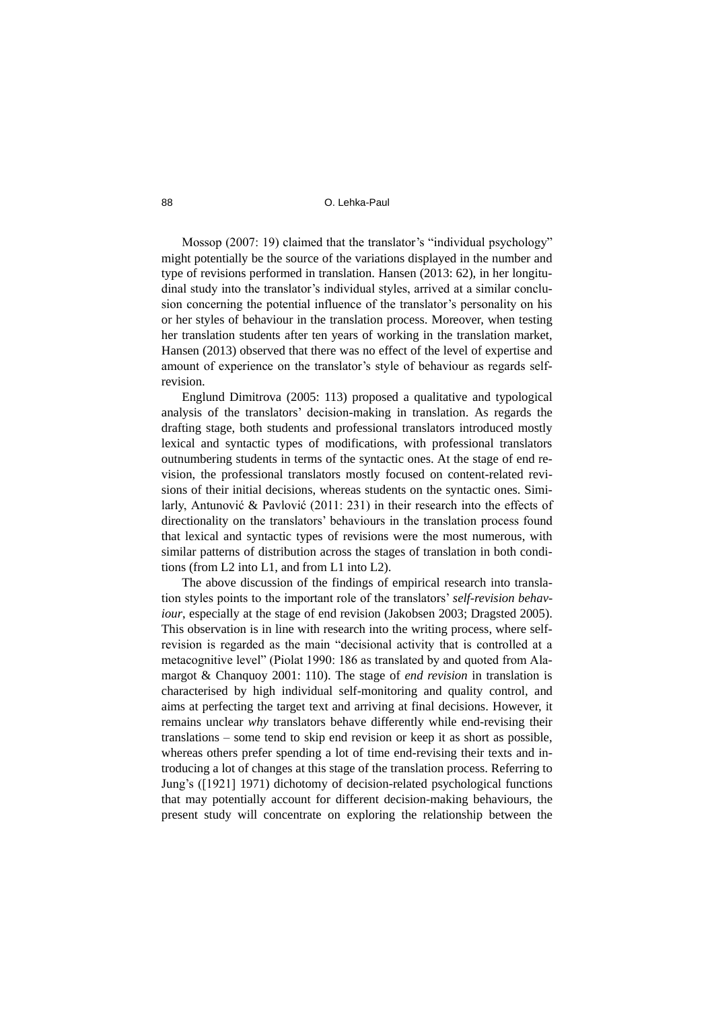Mossop (2007: 19) claimed that the translator's "individual psychology" might potentially be the source of the variations displayed in the number and type of revisions performed in translation. Hansen (2013: 62), in her longitudinal study into the translator's individual styles, arrived at a similar conclusion concerning the potential influence of the translator's personality on his or her styles of behaviour in the translation process. Moreover, when testing her translation students after ten years of working in the translation market, Hansen (2013) observed that there was no effect of the level of expertise and amount of experience on the translator's style of behaviour as regards selfrevision.

Englund Dimitrova (2005: 113) proposed a qualitative and typological analysis of the translators' decision-making in translation. As regards the drafting stage, both students and professional translators introduced mostly lexical and syntactic types of modifications, with professional translators outnumbering students in terms of the syntactic ones. At the stage of end revision, the professional translators mostly focused on content-related revisions of their initial decisions, whereas students on the syntactic ones. Similarly, Antunović & Pavlović (2011: 231) in their research into the effects of directionality on the translators' behaviours in the translation process found that lexical and syntactic types of revisions were the most numerous, with similar patterns of distribution across the stages of translation in both conditions (from L2 into L1, and from L1 into L2).

The above discussion of the findings of empirical research into translation styles points to the important role of the translators' *self-revision behaviour*, especially at the stage of end revision (Jakobsen 2003; Dragsted 2005). This observation is in line with research into the writing process, where selfrevision is regarded as the main "decisional activity that is controlled at a metacognitive level" (Piolat 1990: 186 as translated by and quoted from Alamargot & Chanquoy 2001: 110). The stage of *end revision* in translation is characterised by high individual self-monitoring and quality control, and aims at perfecting the target text and arriving at final decisions. However, it remains unclear *why* translators behave differently while end-revising their translations – some tend to skip end revision or keep it as short as possible, whereas others prefer spending a lot of time end-revising their texts and introducing a lot of changes at this stage of the translation process. Referring to Jung's ([1921] 1971) dichotomy of decision-related psychological functions that may potentially account for different decision-making behaviours, the present study will concentrate on exploring the relationship between the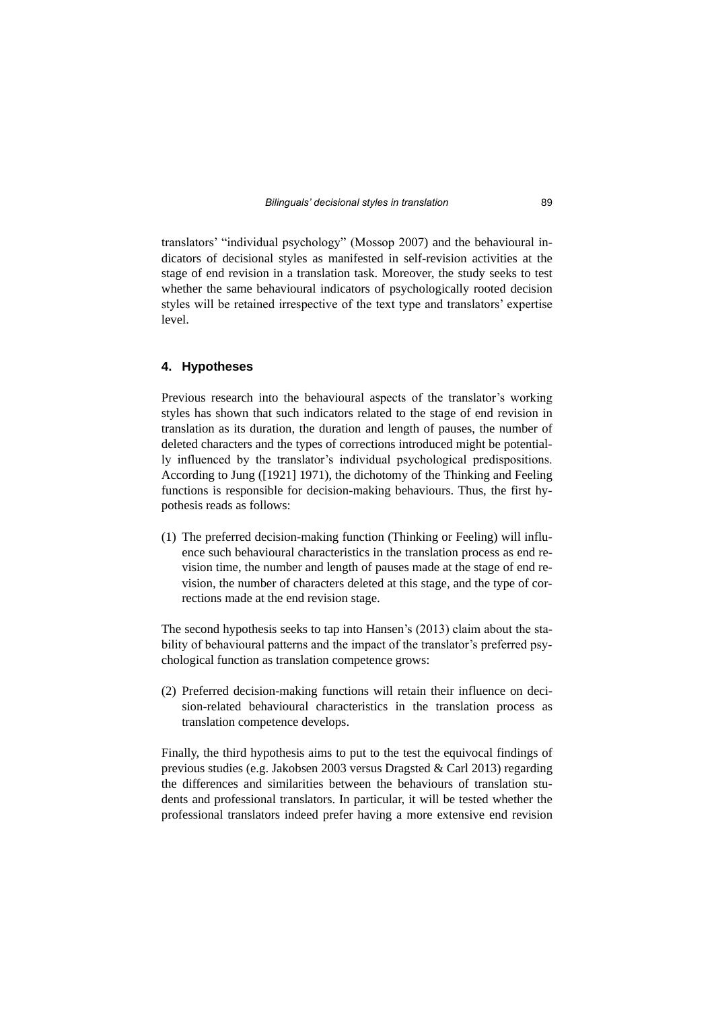translators' "individual psychology" (Mossop 2007) and the behavioural indicators of decisional styles as manifested in self-revision activities at the stage of end revision in a translation task. Moreover, the study seeks to test whether the same behavioural indicators of psychologically rooted decision styles will be retained irrespective of the text type and translators' expertise level.

### **4. Hypotheses**

Previous research into the behavioural aspects of the translator's working styles has shown that such indicators related to the stage of end revision in translation as its duration, the duration and length of pauses, the number of deleted characters and the types of corrections introduced might be potentially influenced by the translator's individual psychological predispositions. According to Jung ([1921] 1971), the dichotomy of the Thinking and Feeling functions is responsible for decision-making behaviours. Thus, the first hypothesis reads as follows:

(1) The preferred decision-making function (Thinking or Feeling) will influence such behavioural characteristics in the translation process as end revision time, the number and length of pauses made at the stage of end revision, the number of characters deleted at this stage, and the type of corrections made at the end revision stage.

The second hypothesis seeks to tap into Hansen's (2013) claim about the stability of behavioural patterns and the impact of the translator's preferred psychological function as translation competence grows:

(2) Preferred decision-making functions will retain their influence on decision-related behavioural characteristics in the translation process as translation competence develops.

Finally, the third hypothesis aims to put to the test the equivocal findings of previous studies (e.g. Jakobsen 2003 versus Dragsted & Carl 2013) regarding the differences and similarities between the behaviours of translation students and professional translators. In particular, it will be tested whether the professional translators indeed prefer having a more extensive end revision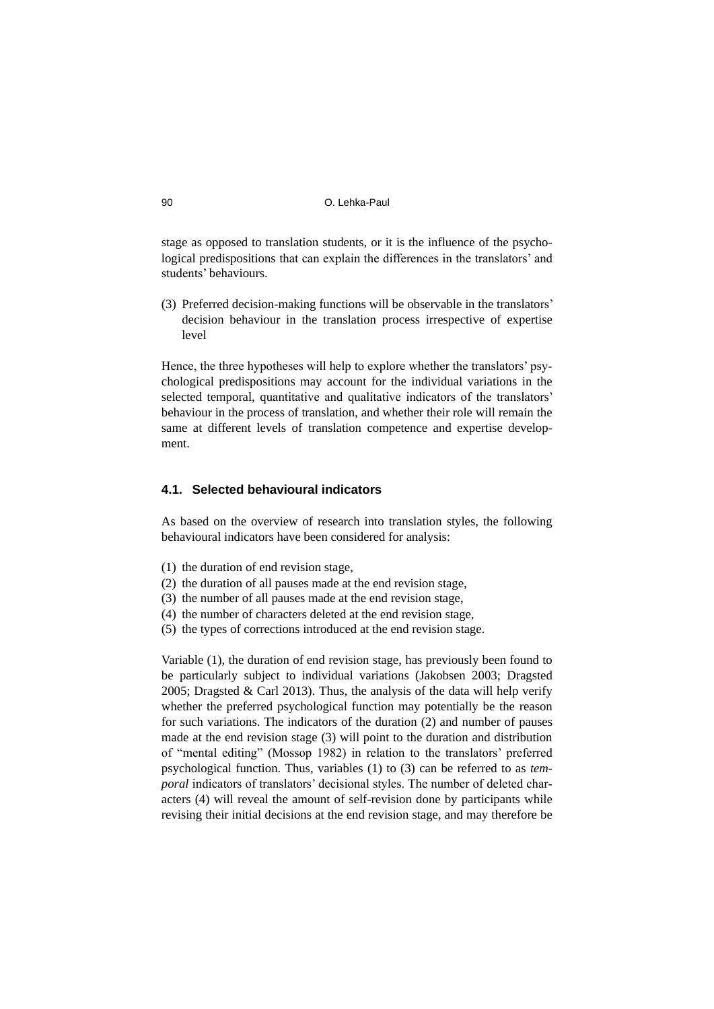stage as opposed to translation students, or it is the influence of the psychological predispositions that can explain the differences in the translators' and students' behaviours.

(3) Preferred decision-making functions will be observable in the translators' decision behaviour in the translation process irrespective of expertise level

Hence, the three hypotheses will help to explore whether the translators' psychological predispositions may account for the individual variations in the selected temporal, quantitative and qualitative indicators of the translators' behaviour in the process of translation, and whether their role will remain the same at different levels of translation competence and expertise development.

## **4.1. Selected behavioural indicators**

As based on the overview of research into translation styles, the following behavioural indicators have been considered for analysis:

- (1) the duration of end revision stage,
- (2) the duration of all pauses made at the end revision stage,
- (3) the number of all pauses made at the end revision stage,
- (4) the number of characters deleted at the end revision stage,
- (5) the types of corrections introduced at the end revision stage.

Variable (1), the duration of end revision stage, has previously been found to be particularly subject to individual variations (Jakobsen 2003; Dragsted 2005; Dragsted & Carl 2013). Thus, the analysis of the data will help verify whether the preferred psychological function may potentially be the reason for such variations. The indicators of the duration (2) and number of pauses made at the end revision stage (3) will point to the duration and distribution of "mental editing" (Mossop 1982) in relation to the translators' preferred psychological function. Thus, variables (1) to (3) can be referred to as *temporal* indicators of translators' decisional styles. The number of deleted characters (4) will reveal the amount of self-revision done by participants while revising their initial decisions at the end revision stage, and may therefore be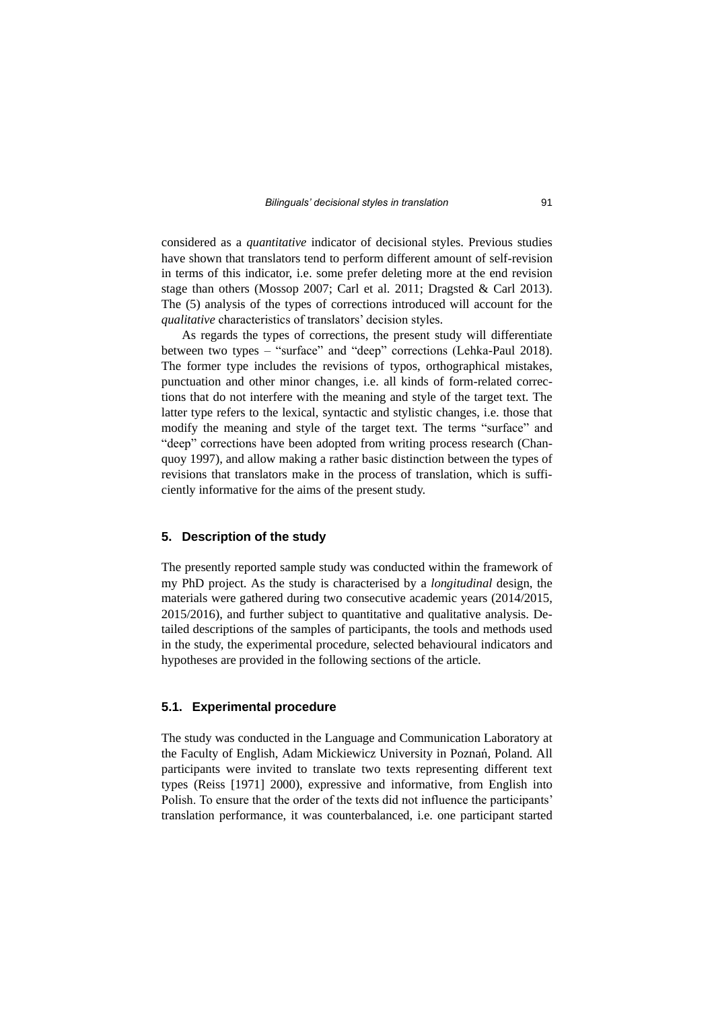considered as a *quantitative* indicator of decisional styles. Previous studies have shown that translators tend to perform different amount of self-revision in terms of this indicator, i.e. some prefer deleting more at the end revision stage than others (Mossop 2007; Carl et al. 2011; Dragsted & Carl 2013). The (5) analysis of the types of corrections introduced will account for the *qualitative* characteristics of translators' decision styles.

As regards the types of corrections, the present study will differentiate between two types – "surface" and "deep" corrections (Lehka-Paul 2018). The former type includes the revisions of typos, orthographical mistakes, punctuation and other minor changes, i.e. all kinds of form-related corrections that do not interfere with the meaning and style of the target text. The latter type refers to the lexical, syntactic and stylistic changes, i.e. those that modify the meaning and style of the target text. The terms "surface" and "deep" corrections have been adopted from writing process research (Chanquoy 1997), and allow making a rather basic distinction between the types of revisions that translators make in the process of translation, which is sufficiently informative for the aims of the present study.

#### **5. Description of the study**

The presently reported sample study was conducted within the framework of my PhD project. As the study is characterised by a *longitudinal* design, the materials were gathered during two consecutive academic years (2014/2015, 2015/2016), and further subject to quantitative and qualitative analysis. Detailed descriptions of the samples of participants, the tools and methods used in the study, the experimental procedure, selected behavioural indicators and hypotheses are provided in the following sections of the article.

#### **5.1. Experimental procedure**

The study was conducted in the Language and Communication Laboratory at the Faculty of English, Adam Mickiewicz University in Poznań, Poland. All participants were invited to translate two texts representing different text types (Reiss [1971] 2000), expressive and informative, from English into Polish. To ensure that the order of the texts did not influence the participants' translation performance, it was counterbalanced, i.e. one participant started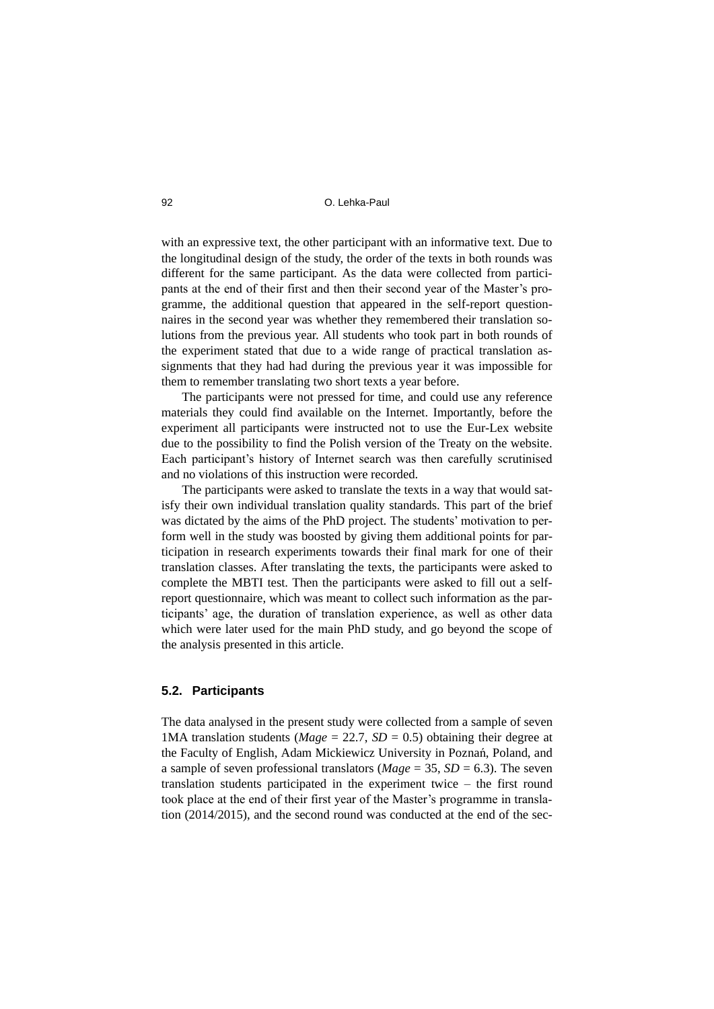with an expressive text, the other participant with an informative text. Due to the longitudinal design of the study, the order of the texts in both rounds was different for the same participant. As the data were collected from participants at the end of their first and then their second year of the Master's programme, the additional question that appeared in the self-report questionnaires in the second year was whether they remembered their translation solutions from the previous year. All students who took part in both rounds of the experiment stated that due to a wide range of practical translation assignments that they had had during the previous year it was impossible for them to remember translating two short texts a year before.

The participants were not pressed for time, and could use any reference materials they could find available on the Internet. Importantly, before the experiment all participants were instructed not to use the Eur-Lex website due to the possibility to find the Polish version of the Treaty on the website. Each participant's history of Internet search was then carefully scrutinised and no violations of this instruction were recorded.

The participants were asked to translate the texts in a way that would satisfy their own individual translation quality standards. This part of the brief was dictated by the aims of the PhD project. The students' motivation to perform well in the study was boosted by giving them additional points for participation in research experiments towards their final mark for one of their translation classes. After translating the texts, the participants were asked to complete the MBTI test. Then the participants were asked to fill out a selfreport questionnaire, which was meant to collect such information as the participants' age, the duration of translation experience, as well as other data which were later used for the main PhD study, and go beyond the scope of the analysis presented in this article.

### **5.2. Participants**

The data analysed in the present study were collected from a sample of seven 1MA translation students ( $Mage = 22.7$ ,  $SD = 0.5$ ) obtaining their degree at the Faculty of English, Adam Mickiewicz University in Poznań, Poland, and a sample of seven professional translators ( $Mage = 35$ ,  $SD = 6.3$ ). The seven translation students participated in the experiment twice – the first round took place at the end of their first year of the Master's programme in translation (2014/2015), and the second round was conducted at the end of the sec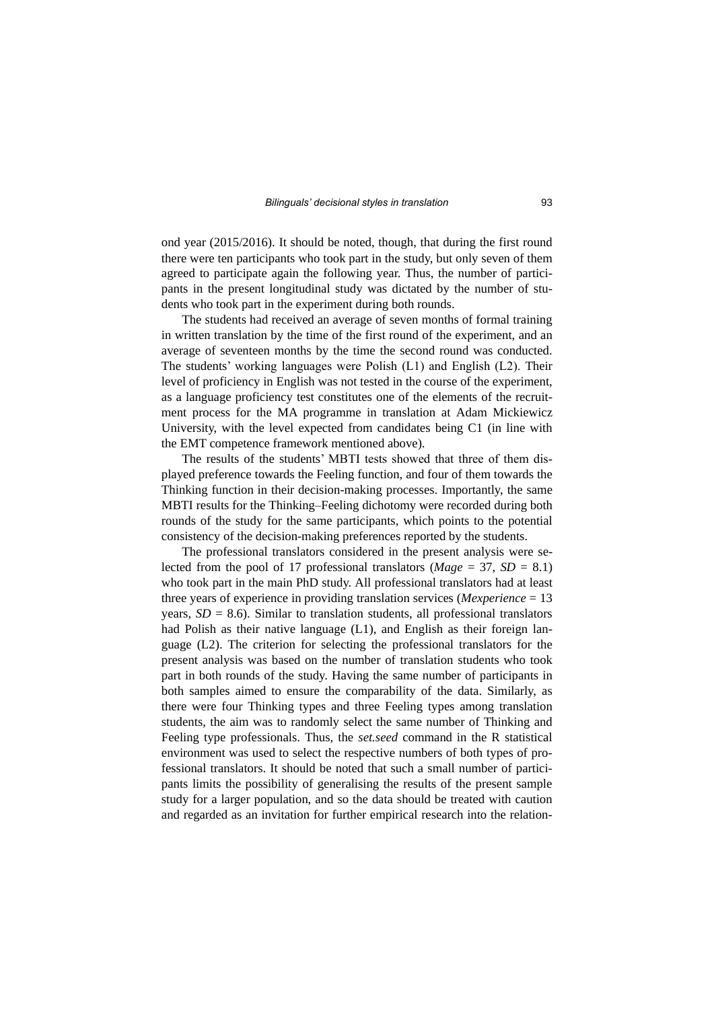ond year (2015/2016). It should be noted, though, that during the first round there were ten participants who took part in the study, but only seven of them agreed to participate again the following year. Thus, the number of participants in the present longitudinal study was dictated by the number of students who took part in the experiment during both rounds.

The students had received an average of seven months of formal training in written translation by the time of the first round of the experiment, and an average of seventeen months by the time the second round was conducted. The students' working languages were Polish (L1) and English (L2). Their level of proficiency in English was not tested in the course of the experiment, as a language proficiency test constitutes one of the elements of the recruitment process for the MA programme in translation at Adam Mickiewicz University, with the level expected from candidates being C1 (in line with the EMT competence framework mentioned above).

The results of the students' MBTI tests showed that three of them displayed preference towards the Feeling function, and four of them towards the Thinking function in their decision-making processes. Importantly, the same MBTI results for the Thinking–Feeling dichotomy were recorded during both rounds of the study for the same participants, which points to the potential consistency of the decision-making preferences reported by the students.

The professional translators considered in the present analysis were selected from the pool of 17 professional translators ( $Mage = 37$ ,  $SD = 8.1$ ) who took part in the main PhD study. All professional translators had at least three years of experience in providing translation services (*Mexperience* = 13 years,  $SD = 8.6$ ). Similar to translation students, all professional translators had Polish as their native language (L1), and English as their foreign language (L2). The criterion for selecting the professional translators for the present analysis was based on the number of translation students who took part in both rounds of the study. Having the same number of participants in both samples aimed to ensure the comparability of the data. Similarly, as there were four Thinking types and three Feeling types among translation students, the aim was to randomly select the same number of Thinking and Feeling type professionals. Thus, the *set.seed* command in the R statistical environment was used to select the respective numbers of both types of professional translators. It should be noted that such a small number of participants limits the possibility of generalising the results of the present sample study for a larger population, and so the data should be treated with caution and regarded as an invitation for further empirical research into the relation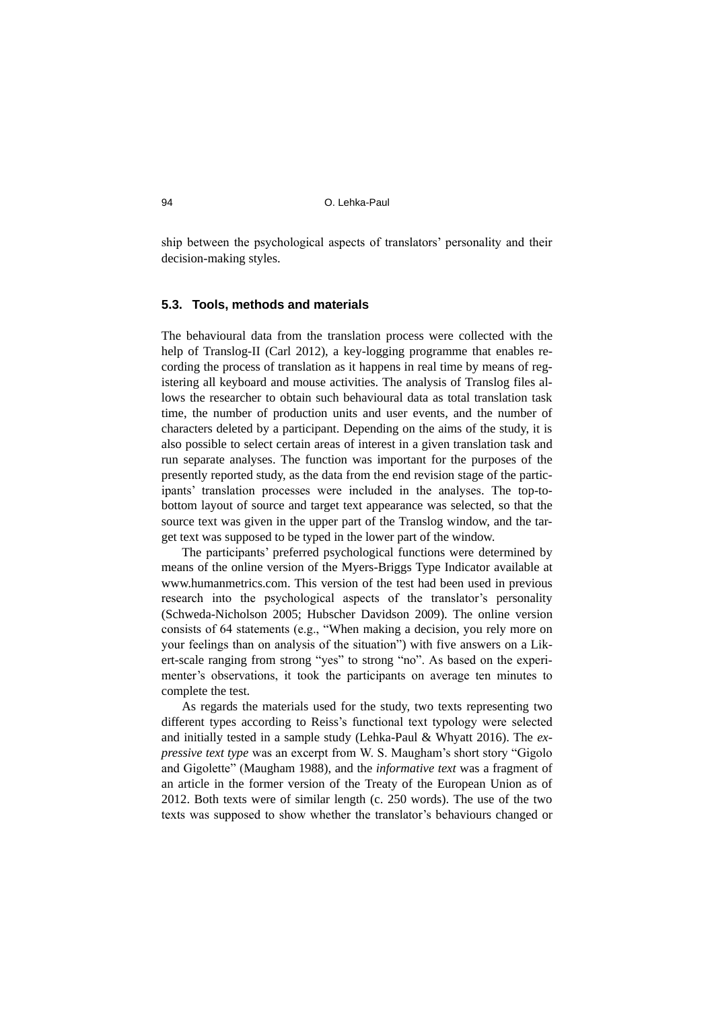ship between the psychological aspects of translators' personality and their decision-making styles.

### **5.3. Tools, methods and materials**

The behavioural data from the translation process were collected with the help of Translog-II (Carl 2012), a key-logging programme that enables recording the process of translation as it happens in real time by means of registering all keyboard and mouse activities. The analysis of Translog files allows the researcher to obtain such behavioural data as total translation task time, the number of production units and user events, and the number of characters deleted by a participant. Depending on the aims of the study, it is also possible to select certain areas of interest in a given translation task and run separate analyses. The function was important for the purposes of the presently reported study, as the data from the end revision stage of the participants' translation processes were included in the analyses. The top-tobottom layout of source and target text appearance was selected, so that the source text was given in the upper part of the Translog window, and the target text was supposed to be typed in the lower part of the window.

The participants' preferred psychological functions were determined by means of the online version of the Myers-Briggs Type Indicator available at www.humanmetrics.com. This version of the test had been used in previous research into the psychological aspects of the translator's personality (Schweda-Nicholson 2005; Hubscher Davidson 2009). The online version consists of 64 statements (e.g., "When making a decision, you rely more on your feelings than on analysis of the situation") with five answers on a Likert-scale ranging from strong "yes" to strong "no". As based on the experimenter's observations, it took the participants on average ten minutes to complete the test.

As regards the materials used for the study, two texts representing two different types according to Reiss's functional text typology were selected and initially tested in a sample study (Lehka-Paul & Whyatt 2016). The *expressive text type* was an excerpt from W. S. Maugham's short story "Gigolo and Gigolette" (Maugham 1988), and the *informative text* was a fragment of an article in the former version of the Treaty of the European Union as of 2012. Both texts were of similar length (c. 250 words). The use of the two texts was supposed to show whether the translator's behaviours changed or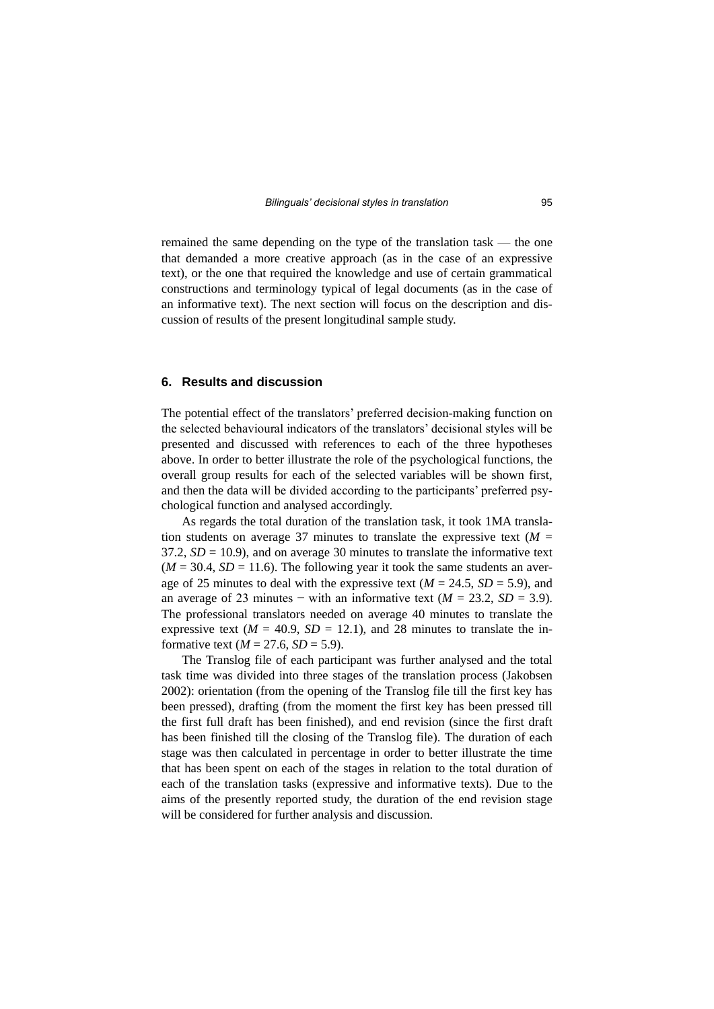remained the same depending on the type of the translation task — the one that demanded a more creative approach (as in the case of an expressive text), or the one that required the knowledge and use of certain grammatical constructions and terminology typical of legal documents (as in the case of an informative text). The next section will focus on the description and discussion of results of the present longitudinal sample study.

#### **6. Results and discussion**

The potential effect of the translators' preferred decision-making function on the selected behavioural indicators of the translators' decisional styles will be presented and discussed with references to each of the three hypotheses above. In order to better illustrate the role of the psychological functions, the overall group results for each of the selected variables will be shown first, and then the data will be divided according to the participants' preferred psychological function and analysed accordingly.

As regards the total duration of the translation task, it took 1MA translation students on average 37 minutes to translate the expressive text ( $M =$  $37.2$ ,  $SD = 10.9$ ), and on average 30 minutes to translate the informative text  $(M = 30.4, SD = 11.6)$ . The following year it took the same students an average of 25 minutes to deal with the expressive text  $(M = 24.5, SD = 5.9)$ , and an average of 23 minutes – with an informative text  $(M = 23.2, SD = 3.9)$ . The professional translators needed on average 40 minutes to translate the expressive text ( $M = 40.9$ ,  $SD = 12.1$ ), and 28 minutes to translate the informative text  $(M = 27.6, SD = 5.9)$ .

The Translog file of each participant was further analysed and the total task time was divided into three stages of the translation process (Jakobsen 2002): orientation (from the opening of the Translog file till the first key has been pressed), drafting (from the moment the first key has been pressed till the first full draft has been finished), and end revision (since the first draft has been finished till the closing of the Translog file). The duration of each stage was then calculated in percentage in order to better illustrate the time that has been spent on each of the stages in relation to the total duration of each of the translation tasks (expressive and informative texts). Due to the aims of the presently reported study, the duration of the end revision stage will be considered for further analysis and discussion.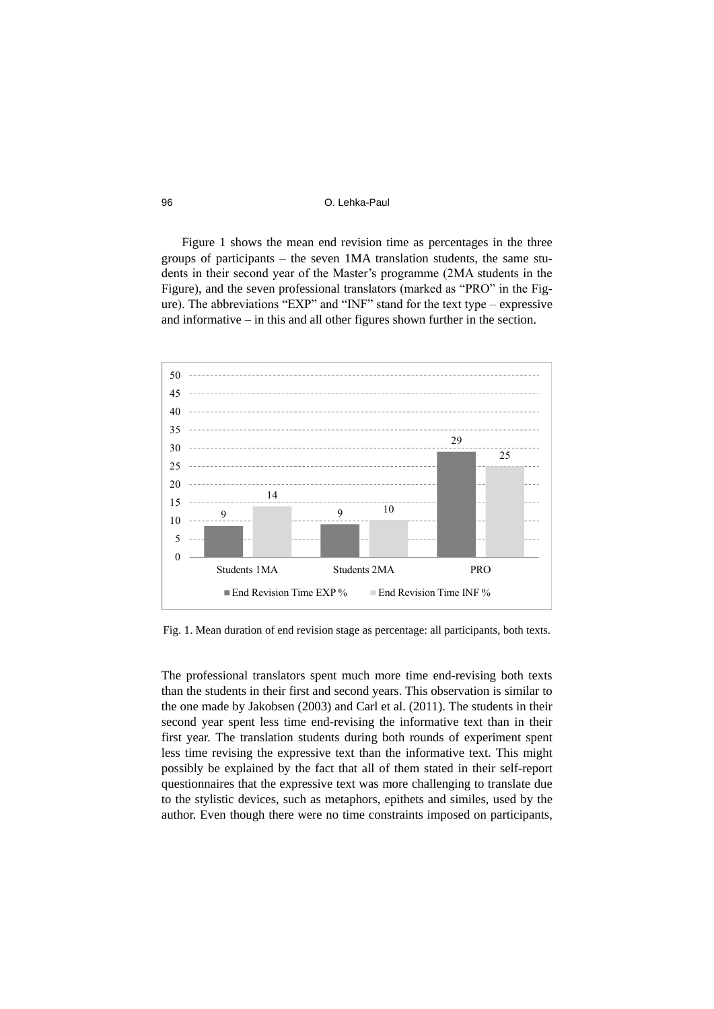Figure 1 shows the mean end revision time as percentages in the three groups of participants – the seven 1MA translation students, the same students in their second year of the Master's programme (2MA students in the Figure), and the seven professional translators (marked as "PRO" in the Figure). The abbreviations "EXP" and "INF" stand for the text type – expressive and informative – in this and all other figures shown further in the section.



Fig. 1. Mean duration of end revision stage as percentage: all participants, both texts.

The professional translators spent much more time end-revising both texts than the students in their first and second years. This observation is similar to the one made by Jakobsen (2003) and Carl et al. (2011). The students in their second year spent less time end-revising the informative text than in their first year. The translation students during both rounds of experiment spent less time revising the expressive text than the informative text. This might possibly be explained by the fact that all of them stated in their self-report questionnaires that the expressive text was more challenging to translate due to the stylistic devices, such as metaphors, epithets and similes, used by the author. Even though there were no time constraints imposed on participants,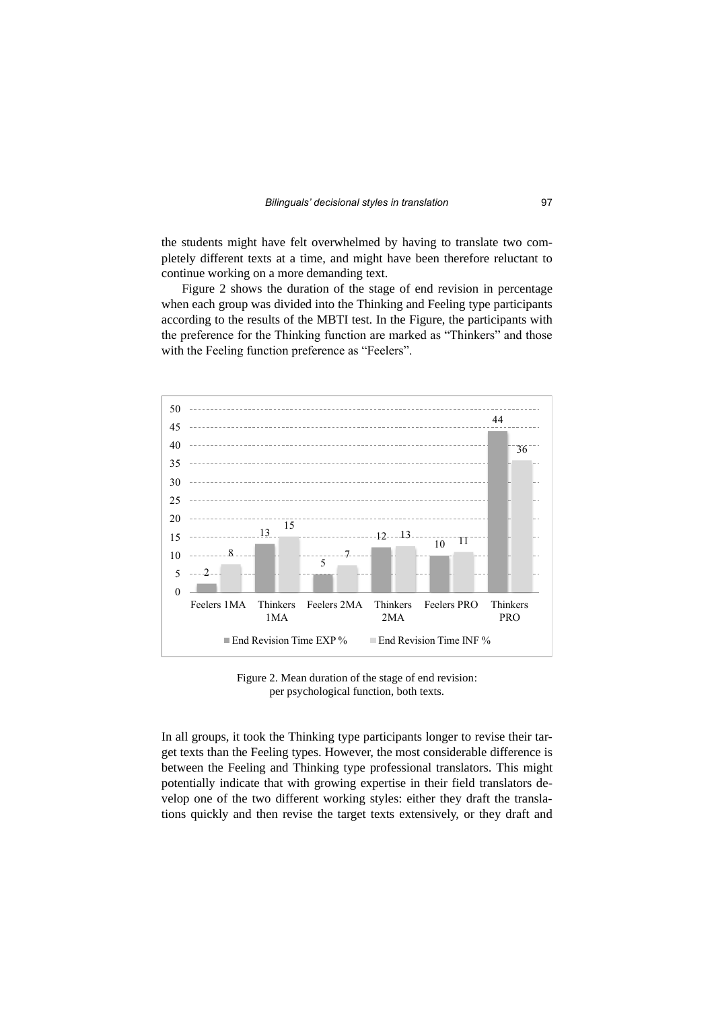the students might have felt overwhelmed by having to translate two completely different texts at a time, and might have been therefore reluctant to continue working on a more demanding text.

Figure 2 shows the duration of the stage of end revision in percentage when each group was divided into the Thinking and Feeling type participants according to the results of the MBTI test. In the Figure, the participants with the preference for the Thinking function are marked as "Thinkers" and those with the Feeling function preference as "Feelers".



Figure 2. Mean duration of the stage of end revision: per psychological function, both texts.

In all groups, it took the Thinking type participants longer to revise their target texts than the Feeling types. However, the most considerable difference is between the Feeling and Thinking type professional translators. This might potentially indicate that with growing expertise in their field translators develop one of the two different working styles: either they draft the translations quickly and then revise the target texts extensively, or they draft and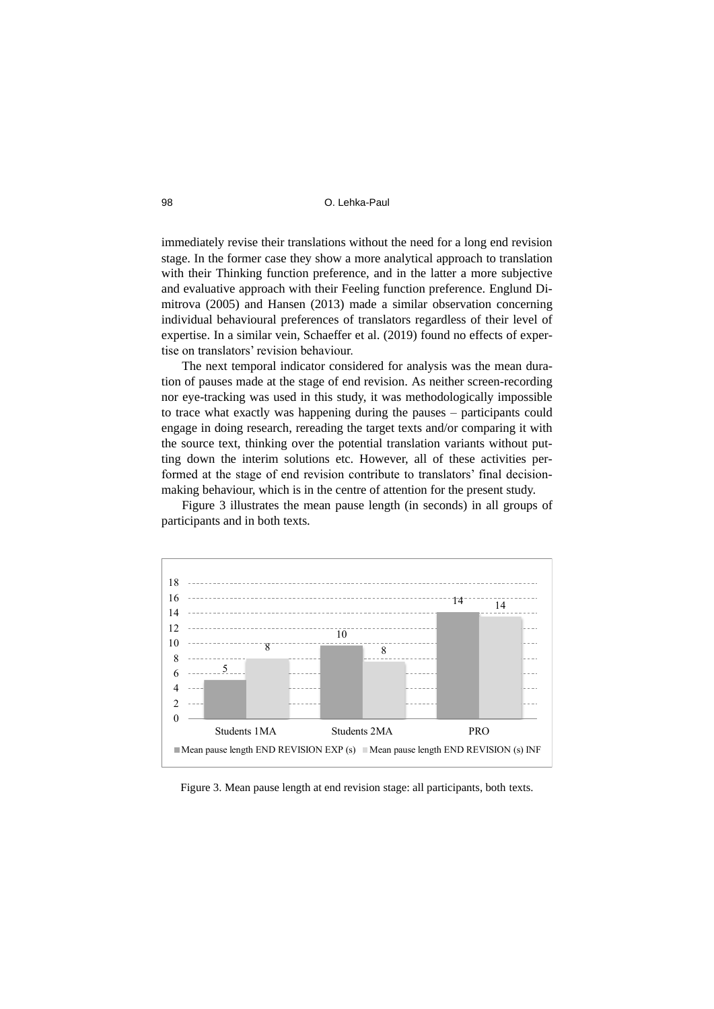immediately revise their translations without the need for a long end revision stage. In the former case they show a more analytical approach to translation with their Thinking function preference, and in the latter a more subjective and evaluative approach with their Feeling function preference. Englund Dimitrova (2005) and Hansen (2013) made a similar observation concerning individual behavioural preferences of translators regardless of their level of expertise. In a similar vein, Schaeffer et al. (2019) found no effects of expertise on translators' revision behaviour.

The next temporal indicator considered for analysis was the mean duration of pauses made at the stage of end revision. As neither screen-recording nor eye-tracking was used in this study, it was methodologically impossible to trace what exactly was happening during the pauses – participants could engage in doing research, rereading the target texts and/or comparing it with the source text, thinking over the potential translation variants without putting down the interim solutions etc. However, all of these activities performed at the stage of end revision contribute to translators' final decisionmaking behaviour, which is in the centre of attention for the present study.

Figure 3 illustrates the mean pause length (in seconds) in all groups of participants and in both texts.



Figure 3. Mean pause length at end revision stage: all participants, both texts.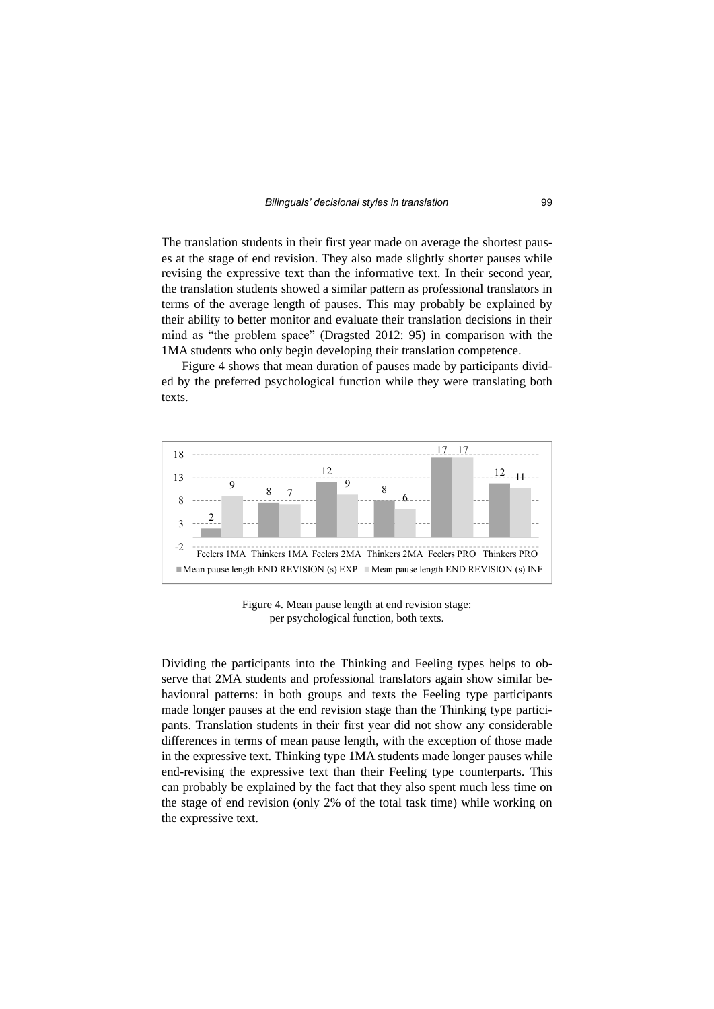The translation students in their first year made on average the shortest pauses at the stage of end revision. They also made slightly shorter pauses while revising the expressive text than the informative text. In their second year, the translation students showed a similar pattern as professional translators in terms of the average length of pauses. This may probably be explained by their ability to better monitor and evaluate their translation decisions in their mind as "the problem space" (Dragsted 2012: 95) in comparison with the 1MA students who only begin developing their translation competence.

Figure 4 shows that mean duration of pauses made by participants divided by the preferred psychological function while they were translating both texts.



Figure 4. Mean pause length at end revision stage: per psychological function, both texts.

Dividing the participants into the Thinking and Feeling types helps to observe that 2MA students and professional translators again show similar behavioural patterns: in both groups and texts the Feeling type participants made longer pauses at the end revision stage than the Thinking type participants. Translation students in their first year did not show any considerable differences in terms of mean pause length, with the exception of those made in the expressive text. Thinking type 1MA students made longer pauses while end-revising the expressive text than their Feeling type counterparts. This can probably be explained by the fact that they also spent much less time on the stage of end revision (only 2% of the total task time) while working on the expressive text.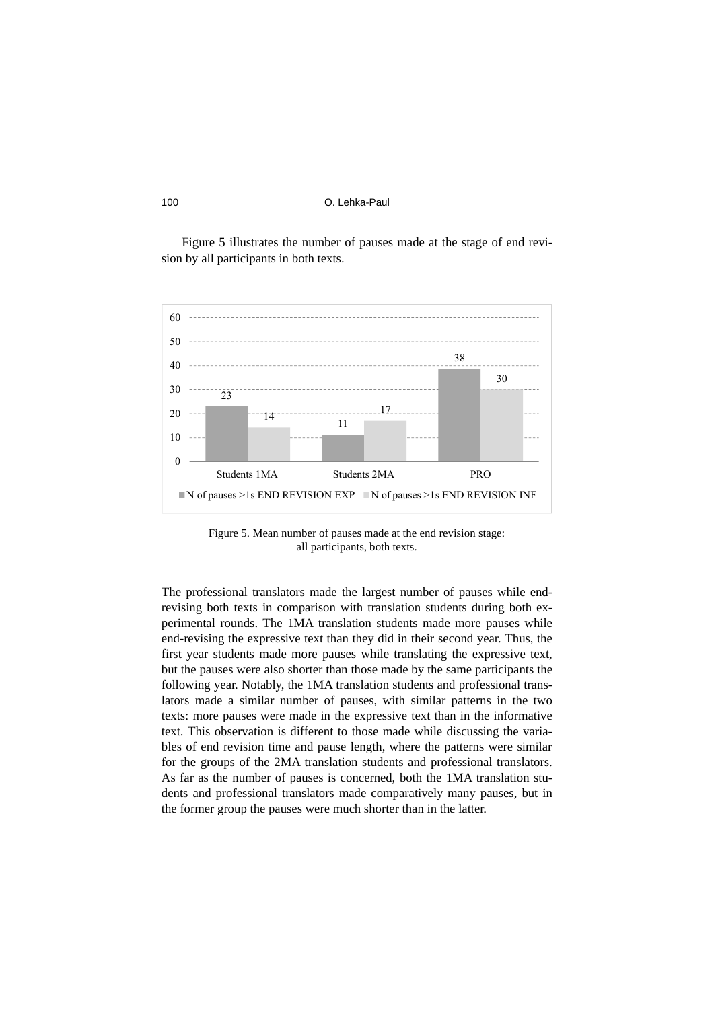Figure 5 illustrates the number of pauses made at the stage of end revision by all participants in both texts.



Figure 5. Mean number of pauses made at the end revision stage: all participants, both texts.

The professional translators made the largest number of pauses while endrevising both texts in comparison with translation students during both experimental rounds. The 1MA translation students made more pauses while end-revising the expressive text than they did in their second year. Thus, the first year students made more pauses while translating the expressive text, but the pauses were also shorter than those made by the same participants the following year. Notably, the 1MA translation students and professional translators made a similar number of pauses, with similar patterns in the two texts: more pauses were made in the expressive text than in the informative text. This observation is different to those made while discussing the variables of end revision time and pause length, where the patterns were similar for the groups of the 2MA translation students and professional translators. As far as the number of pauses is concerned, both the 1MA translation students and professional translators made comparatively many pauses, but in the former group the pauses were much shorter than in the latter.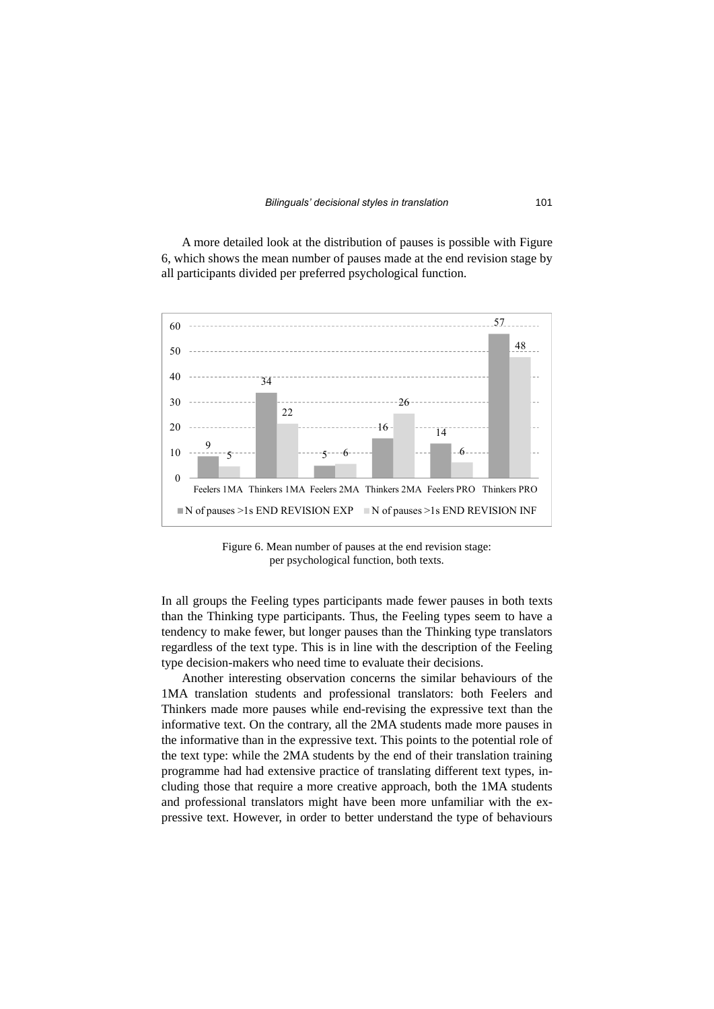A more detailed look at the distribution of pauses is possible with Figure 6, which shows the mean number of pauses made at the end revision stage by all participants divided per preferred psychological function.



Figure 6. Mean number of pauses at the end revision stage: per psychological function, both texts.

In all groups the Feeling types participants made fewer pauses in both texts than the Thinking type participants. Thus, the Feeling types seem to have a tendency to make fewer, but longer pauses than the Thinking type translators regardless of the text type. This is in line with the description of the Feeling type decision-makers who need time to evaluate their decisions.

Another interesting observation concerns the similar behaviours of the 1MA translation students and professional translators: both Feelers and Thinkers made more pauses while end-revising the expressive text than the informative text. On the contrary, all the 2MA students made more pauses in the informative than in the expressive text. This points to the potential role of the text type: while the 2MA students by the end of their translation training programme had had extensive practice of translating different text types, including those that require a more creative approach, both the 1MA students and professional translators might have been more unfamiliar with the expressive text. However, in order to better understand the type of behaviours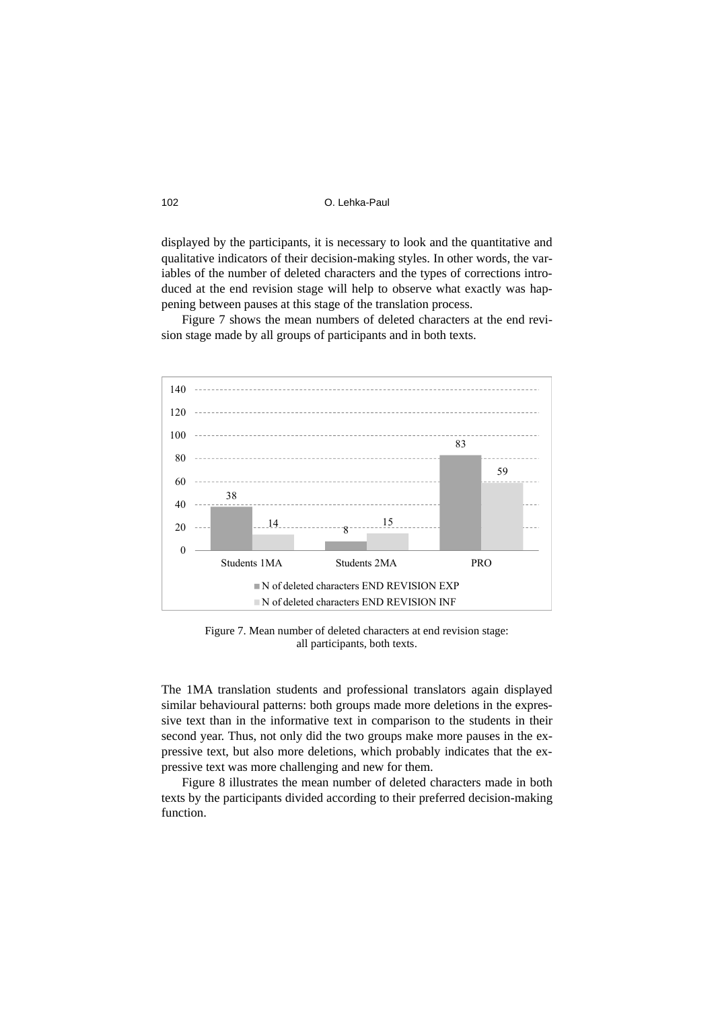displayed by the participants, it is necessary to look and the quantitative and qualitative indicators of their decision-making styles. In other words, the variables of the number of deleted characters and the types of corrections introduced at the end revision stage will help to observe what exactly was happening between pauses at this stage of the translation process.

Figure 7 shows the mean numbers of deleted characters at the end revision stage made by all groups of participants and in both texts.



Figure 7. Mean number of deleted characters at end revision stage: all participants, both texts.

The 1MA translation students and professional translators again displayed similar behavioural patterns: both groups made more deletions in the expressive text than in the informative text in comparison to the students in their second year. Thus, not only did the two groups make more pauses in the expressive text, but also more deletions, which probably indicates that the expressive text was more challenging and new for them.

Figure 8 illustrates the mean number of deleted characters made in both texts by the participants divided according to their preferred decision-making function.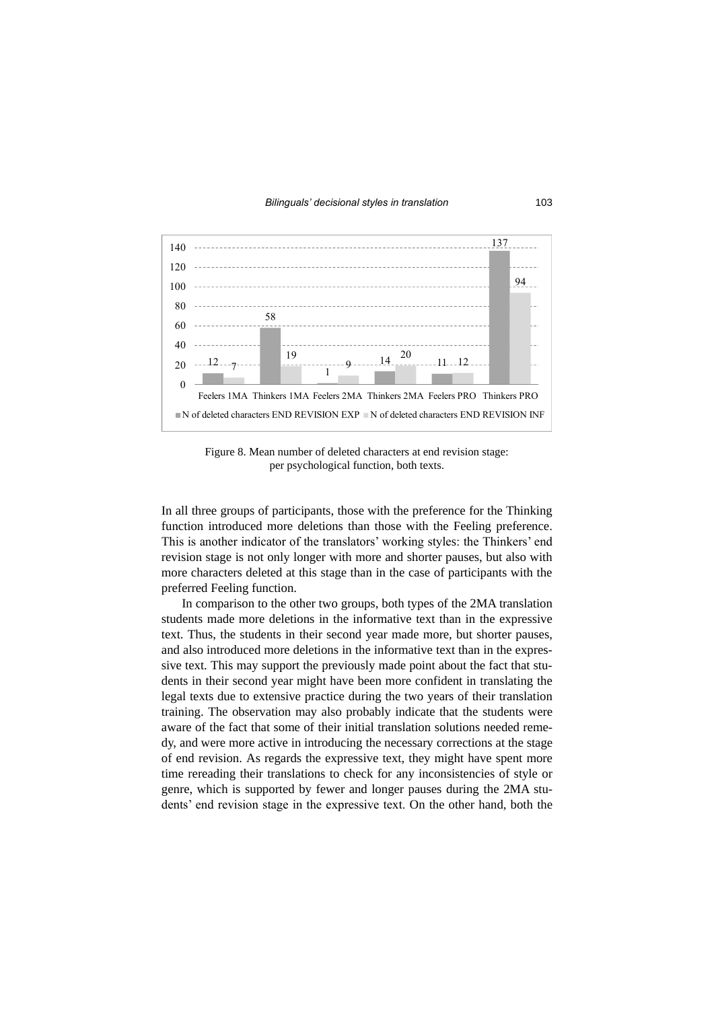

Figure 8. Mean number of deleted characters at end revision stage: per psychological function, both texts.

In all three groups of participants, those with the preference for the Thinking function introduced more deletions than those with the Feeling preference. This is another indicator of the translators' working styles: the Thinkers' end revision stage is not only longer with more and shorter pauses, but also with more characters deleted at this stage than in the case of participants with the preferred Feeling function.

In comparison to the other two groups, both types of the 2MA translation students made more deletions in the informative text than in the expressive text. Thus, the students in their second year made more, but shorter pauses, and also introduced more deletions in the informative text than in the expressive text. This may support the previously made point about the fact that students in their second year might have been more confident in translating the legal texts due to extensive practice during the two years of their translation training. The observation may also probably indicate that the students were aware of the fact that some of their initial translation solutions needed remedy, and were more active in introducing the necessary corrections at the stage of end revision. As regards the expressive text, they might have spent more time rereading their translations to check for any inconsistencies of style or genre, which is supported by fewer and longer pauses during the 2MA students' end revision stage in the expressive text. On the other hand, both the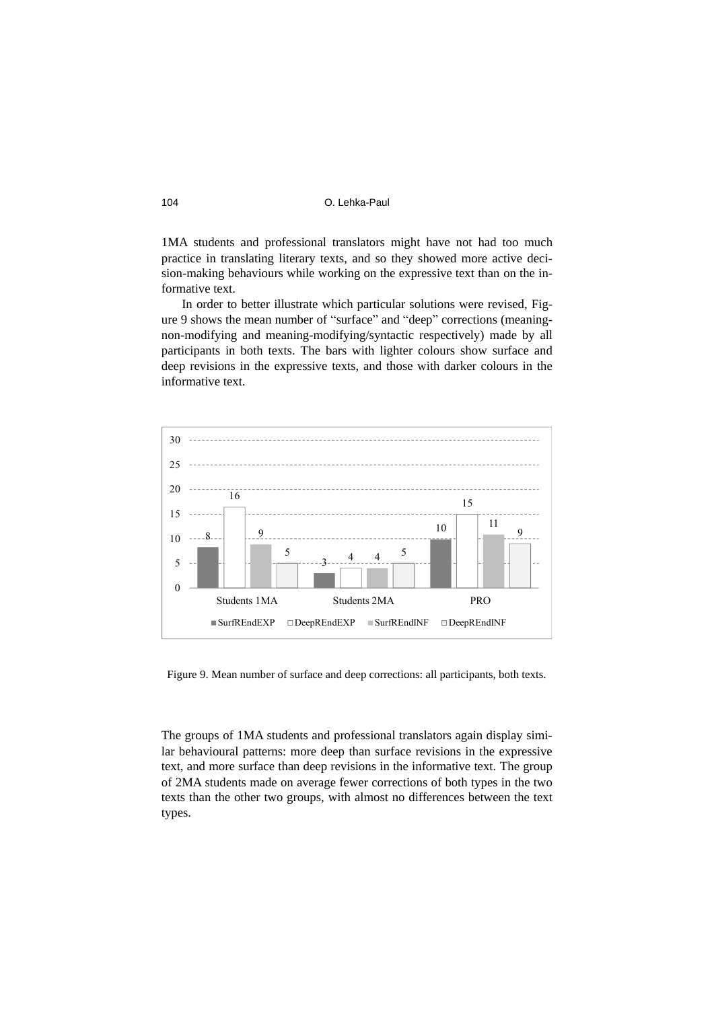1MA students and professional translators might have not had too much practice in translating literary texts, and so they showed more active decision-making behaviours while working on the expressive text than on the informative text.

In order to better illustrate which particular solutions were revised, Figure 9 shows the mean number of "surface" and "deep" corrections (meaningnon-modifying and meaning-modifying/syntactic respectively) made by all participants in both texts. The bars with lighter colours show surface and deep revisions in the expressive texts, and those with darker colours in the informative text.



Figure 9. Mean number of surface and deep corrections: all participants, both texts.

The groups of 1MA students and professional translators again display similar behavioural patterns: more deep than surface revisions in the expressive text, and more surface than deep revisions in the informative text. The group of 2MA students made on average fewer corrections of both types in the two texts than the other two groups, with almost no differences between the text types.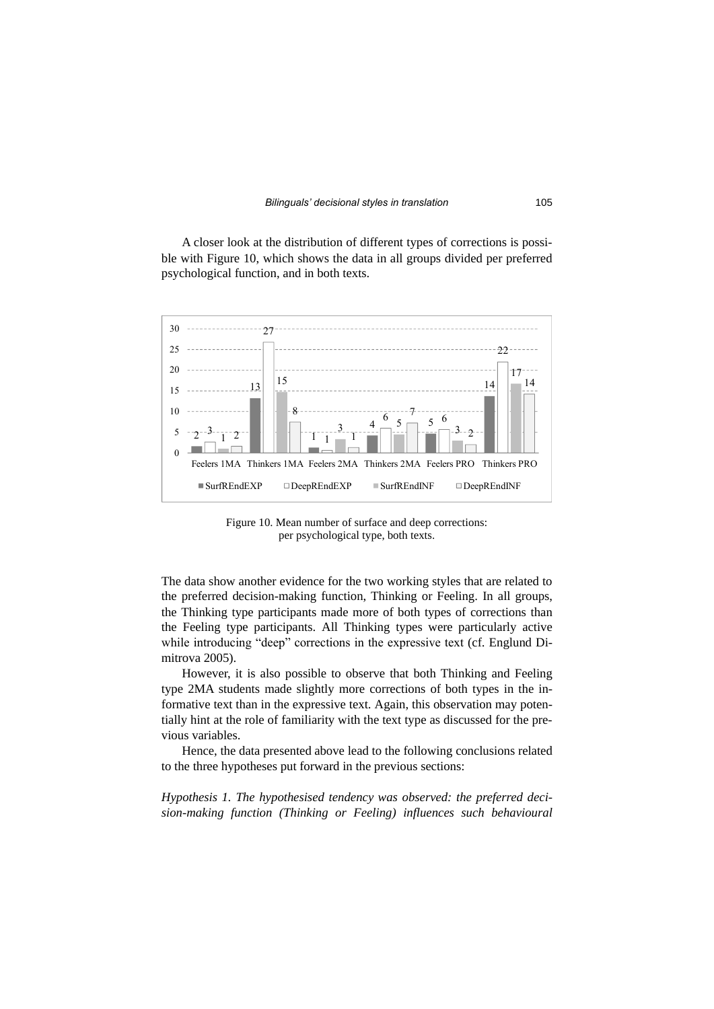A closer look at the distribution of different types of corrections is possible with Figure 10, which shows the data in all groups divided per preferred psychological function, and in both texts.



Figure 10. Mean number of surface and deep corrections: per psychological type, both texts.

The data show another evidence for the two working styles that are related to the preferred decision-making function, Thinking or Feeling. In all groups, the Thinking type participants made more of both types of corrections than the Feeling type participants. All Thinking types were particularly active while introducing "deep" corrections in the expressive text (cf. Englund Dimitrova 2005).

However, it is also possible to observe that both Thinking and Feeling type 2MA students made slightly more corrections of both types in the informative text than in the expressive text. Again, this observation may potentially hint at the role of familiarity with the text type as discussed for the previous variables.

Hence, the data presented above lead to the following conclusions related to the three hypotheses put forward in the previous sections:

*Hypothesis 1. The hypothesised tendency was observed: the preferred decision-making function (Thinking or Feeling) influences such behavioural*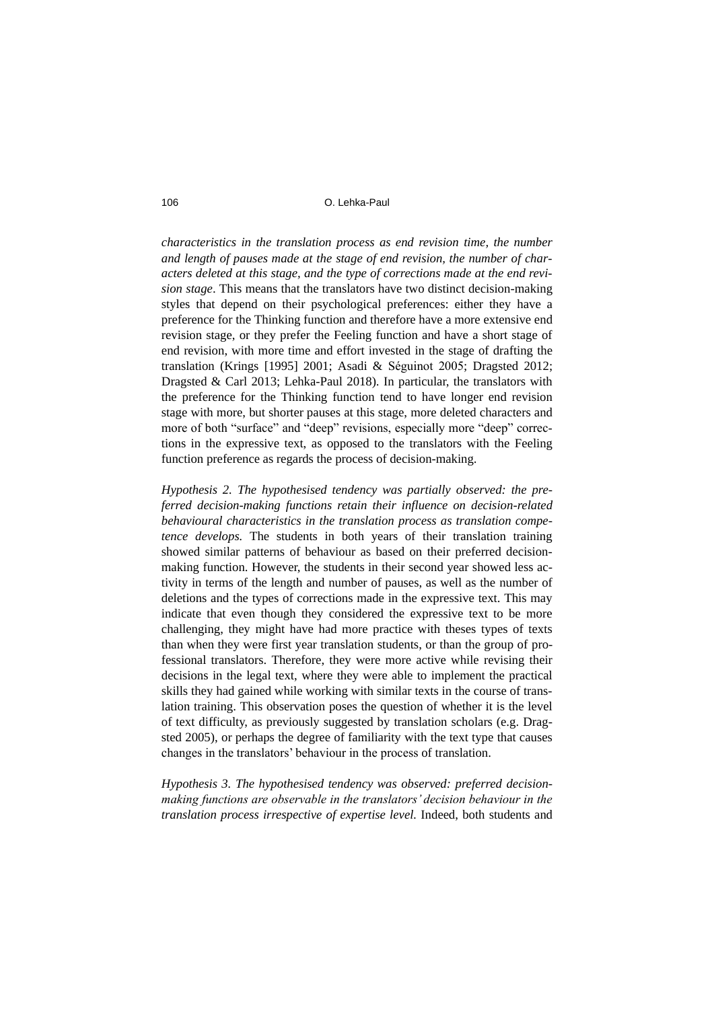#### 106 O. Lehka-Paul

*characteristics in the translation process as end revision time, the number and length of pauses made at the stage of end revision, the number of characters deleted at this stage, and the type of corrections made at the end revision stage*. This means that the translators have two distinct decision-making styles that depend on their psychological preferences: either they have a preference for the Thinking function and therefore have a more extensive end revision stage, or they prefer the Feeling function and have a short stage of end revision, with more time and effort invested in the stage of drafting the translation (Krings [1995] 2001; Asadi & Séguinot 2005; Dragsted 2012; Dragsted & Carl 2013; Lehka-Paul 2018). In particular, the translators with the preference for the Thinking function tend to have longer end revision stage with more, but shorter pauses at this stage, more deleted characters and more of both "surface" and "deep" revisions, especially more "deep" corrections in the expressive text, as opposed to the translators with the Feeling function preference as regards the process of decision-making.

*Hypothesis 2. The hypothesised tendency was partially observed: the preferred decision-making functions retain their influence on decision-related behavioural characteristics in the translation process as translation competence develops.* The students in both years of their translation training showed similar patterns of behaviour as based on their preferred decisionmaking function. However, the students in their second year showed less activity in terms of the length and number of pauses, as well as the number of deletions and the types of corrections made in the expressive text. This may indicate that even though they considered the expressive text to be more challenging, they might have had more practice with theses types of texts than when they were first year translation students, or than the group of professional translators. Therefore, they were more active while revising their decisions in the legal text, where they were able to implement the practical skills they had gained while working with similar texts in the course of translation training. This observation poses the question of whether it is the level of text difficulty, as previously suggested by translation scholars (e.g. Dragsted 2005), or perhaps the degree of familiarity with the text type that causes changes in the translators' behaviour in the process of translation.

*Hypothesis 3. The hypothesised tendency was observed: preferred decisionmaking functions are observable in the translators' decision behaviour in the translation process irrespective of expertise level.* Indeed, both students and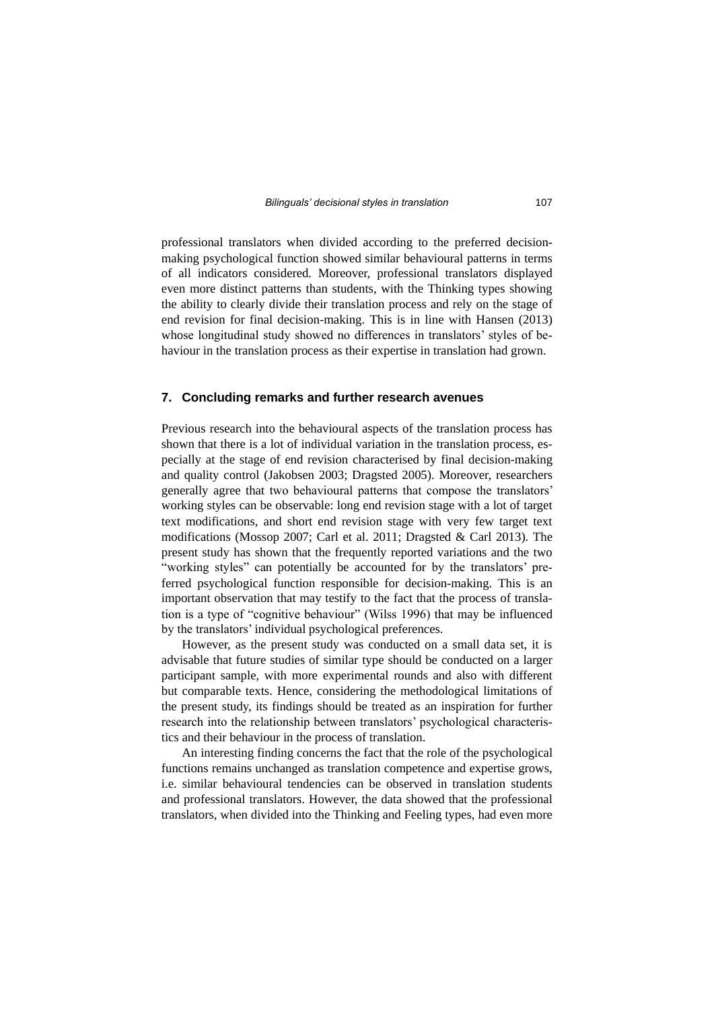professional translators when divided according to the preferred decisionmaking psychological function showed similar behavioural patterns in terms of all indicators considered. Moreover, professional translators displayed even more distinct patterns than students, with the Thinking types showing the ability to clearly divide their translation process and rely on the stage of end revision for final decision-making. This is in line with Hansen (2013) whose longitudinal study showed no differences in translators' styles of behaviour in the translation process as their expertise in translation had grown.

#### **7. Concluding remarks and further research avenues**

Previous research into the behavioural aspects of the translation process has shown that there is a lot of individual variation in the translation process, especially at the stage of end revision characterised by final decision-making and quality control (Jakobsen 2003; Dragsted 2005). Moreover, researchers generally agree that two behavioural patterns that compose the translators' working styles can be observable: long end revision stage with a lot of target text modifications, and short end revision stage with very few target text modifications (Mossop 2007; Carl et al. 2011; Dragsted & Carl 2013). The present study has shown that the frequently reported variations and the two "working styles" can potentially be accounted for by the translators' preferred psychological function responsible for decision-making. This is an important observation that may testify to the fact that the process of translation is a type of "cognitive behaviour" (Wilss 1996) that may be influenced by the translators' individual psychological preferences.

However, as the present study was conducted on a small data set, it is advisable that future studies of similar type should be conducted on a larger participant sample, with more experimental rounds and also with different but comparable texts. Hence, considering the methodological limitations of the present study, its findings should be treated as an inspiration for further research into the relationship between translators' psychological characteristics and their behaviour in the process of translation.

An interesting finding concerns the fact that the role of the psychological functions remains unchanged as translation competence and expertise grows, i.e. similar behavioural tendencies can be observed in translation students and professional translators. However, the data showed that the professional translators, when divided into the Thinking and Feeling types, had even more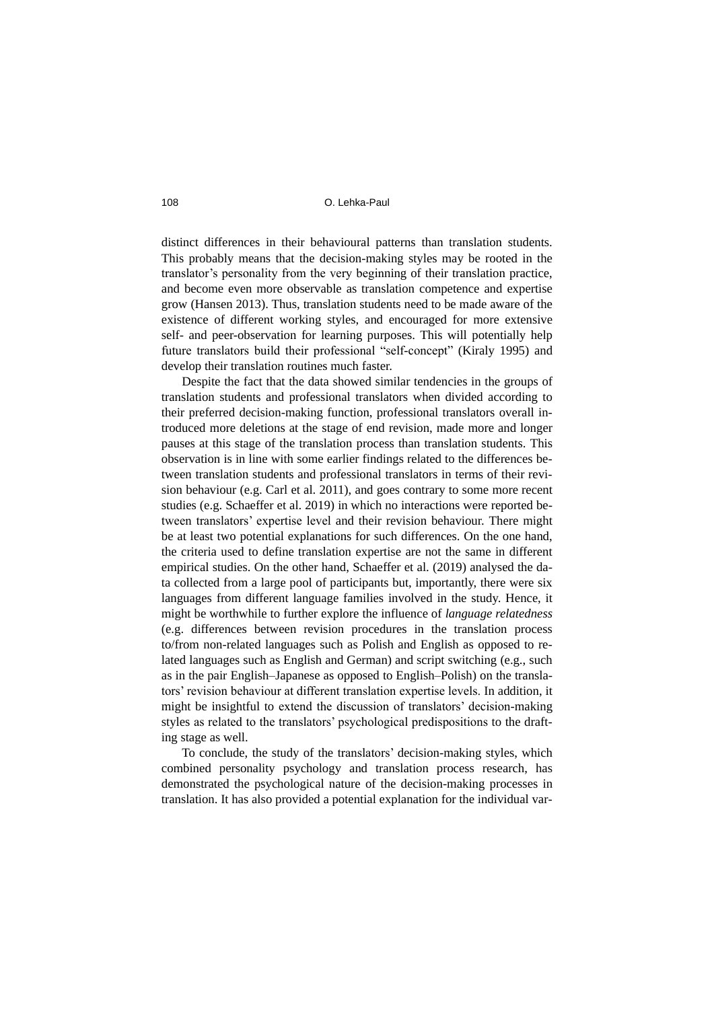distinct differences in their behavioural patterns than translation students. This probably means that the decision-making styles may be rooted in the translator's personality from the very beginning of their translation practice, and become even more observable as translation competence and expertise grow (Hansen 2013). Thus, translation students need to be made aware of the existence of different working styles, and encouraged for more extensive self- and peer-observation for learning purposes. This will potentially help future translators build their professional "self-concept" (Kiraly 1995) and develop their translation routines much faster.

Despite the fact that the data showed similar tendencies in the groups of translation students and professional translators when divided according to their preferred decision-making function, professional translators overall introduced more deletions at the stage of end revision, made more and longer pauses at this stage of the translation process than translation students. This observation is in line with some earlier findings related to the differences between translation students and professional translators in terms of their revision behaviour (e.g. Carl et al. 2011), and goes contrary to some more recent studies (e.g. Schaeffer et al. 2019) in which no interactions were reported between translators' expertise level and their revision behaviour. There might be at least two potential explanations for such differences. On the one hand, the criteria used to define translation expertise are not the same in different empirical studies. On the other hand, Schaeffer et al. (2019) analysed the data collected from a large pool of participants but, importantly, there were six languages from different language families involved in the study. Hence, it might be worthwhile to further explore the influence of *language relatedness* (e.g. differences between revision procedures in the translation process to/from non-related languages such as Polish and English as opposed to related languages such as English and German) and script switching (e.g., such as in the pair English–Japanese as opposed to English–Polish) on the translators' revision behaviour at different translation expertise levels. In addition, it might be insightful to extend the discussion of translators' decision-making styles as related to the translators' psychological predispositions to the drafting stage as well.

To conclude, the study of the translators' decision-making styles, which combined personality psychology and translation process research, has demonstrated the psychological nature of the decision-making processes in translation. It has also provided a potential explanation for the individual var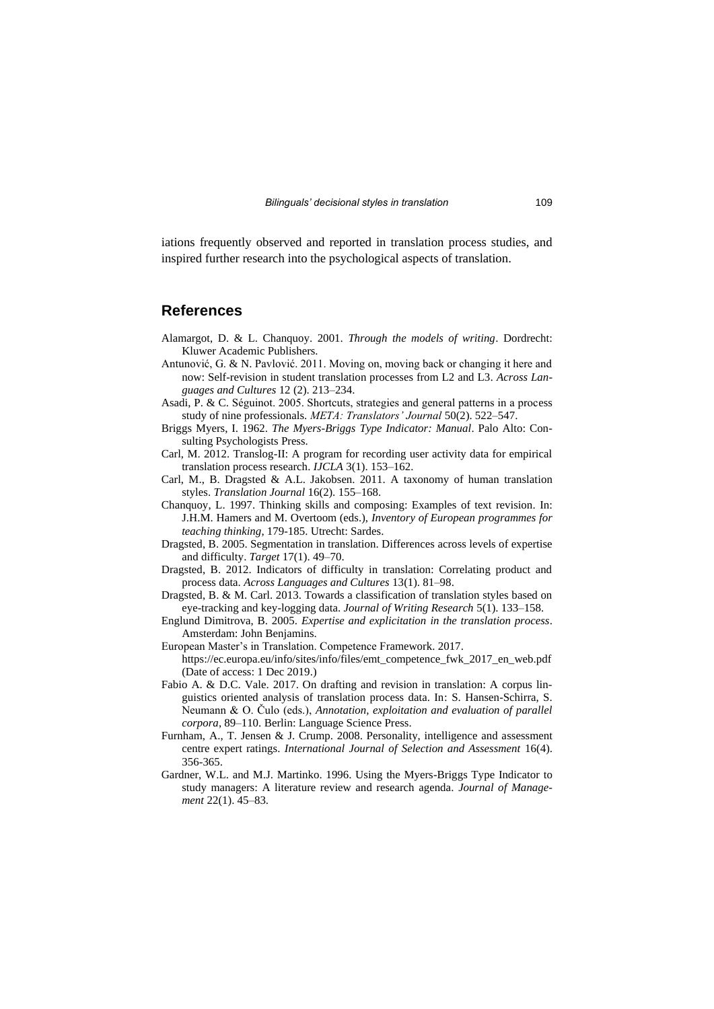iations frequently observed and reported in translation process studies, and inspired further research into the psychological aspects of translation.

### **References**

- Alamargot, D. & L. Chanquoy. 2001. *Through the models of writing*. Dordrecht: Kluwer Academic Publishers.
- Antunović, G. & N. Pavlović. 2011. Moving on, moving back or changing it here and now: Self-revision in student translation processes from L2 and L3*. Across Languages and Cultures* 12 (2). 213–234.
- Asadi, P. & C. Séguinot. 2005. Shortcuts, strategies and general patterns in a process study of nine professionals. *META: Translators' Journal* 50(2). 522–547.
- Briggs Myers, I. 1962. *The Myers-Briggs Type Indicator: Manual*. Palo Alto: Consulting Psychologists Press.
- Carl, M. 2012. Translog-II: A program for recording user activity data for empirical translation process research. *IJCLA* 3(1). 153–162.
- Carl, M., B. Dragsted & A.L. Jakobsen. 2011. A taxonomy of human translation styles. *Translation Journal* 16(2). 155–168.
- Chanquoy, L. 1997. Thinking skills and composing: Examples of text revision. In: J.H.M. Hamers and M. Overtoom (eds.), *Inventory of European programmes for teaching thinking*, 179-185. Utrecht: Sardes.
- Dragsted, B. 2005. Segmentation in translation. Differences across levels of expertise and difficulty. *Target* 17(1). 49–70.
- Dragsted, B. 2012. Indicators of difficulty in translation: Correlating product and process data. *Across Languages and Cultures* 13(1). 81–98.
- Dragsted, B. & M. Carl. 2013. Towards a classification of translation styles based on eye-tracking and key-logging data. *Journal of Writing Research* 5(1). 133–158.
- Englund Dimitrova, B. 2005. *Expertise and explicitation in the translation process*. Amsterdam: John Benjamins.
- European Master's in Translation. Competence Framework. 2017. https://ec.europa.eu/info/sites/info/files/emt\_competence\_fwk\_2017\_en\_web.pdf (Date of access: 1 Dec 2019.)
- Fabio A. & D.C. Vale. 2017. On drafting and revision in translation: A corpus linguistics oriented analysis of translation process data. In: S. Hansen-Schirra, S. Neumann & O. Čulo (eds.), *Annotation, exploitation and evaluation of parallel corpora*, 89–110. Berlin: Language Science Press.
- Furnham, A., T. Jensen & J. Crump. 2008. Personality, intelligence and assessment centre expert ratings. *International Journal of Selection and Assessment* 16(4). 356-365.
- Gardner, W.L. and M.J. Martinko. 1996. Using the Myers-Briggs Type Indicator to study managers: A literature review and research agenda. *Journal of Management* 22(1). 45–83.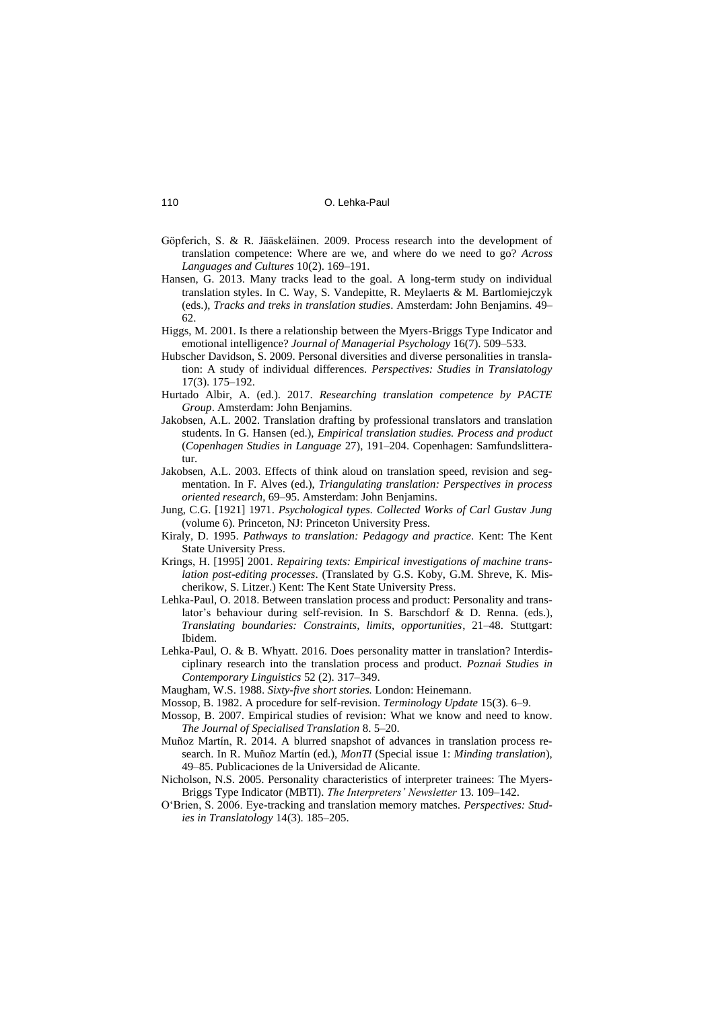- Göpferich, S. & R. Jääskeläinen. 2009. Process research into the development of translation competence: Where are we, and where do we need to go? *Across Languages and Cultures* 10(2). 169–191.
- Hansen, G. 2013. Many tracks lead to the goal. A long-term study on individual translation styles. In C. Way, S. Vandepitte, R. Meylaerts & M. Bartlomiejczyk (eds.), *Tracks and treks in translation studies*. Amsterdam: John Benjamins. 49– 62.
- Higgs, M. 2001. Is there a relationship between the Myers-Briggs Type Indicator and emotional intelligence? *Journal of Managerial Psychology* 16(7). 509–533.
- Hubscher Davidson, S. 2009. Personal diversities and diverse personalities in translation: A study of individual differences. *Perspectives: Studies in Translatology* 17(3). 175–192.
- Hurtado Albir, A. (ed.). 2017. *Researching translation competence by PACTE Group*. Amsterdam: John Benjamins.
- Jakobsen, A.L. 2002. Translation drafting by professional translators and translation students. In G. Hansen (ed.), *Empirical translation studies. Process and product* (*Copenhagen Studies in Language* 27), 191–204. Copenhagen: Samfundslitteratur.
- Jakobsen, A.L. 2003. Effects of think aloud on translation speed, revision and segmentation. In F. Alves (ed.), *Triangulating translation: Perspectives in process oriented research*, 69–95. Amsterdam: John Benjamins.
- Jung, C.G. [1921] 1971. *Psychological types. Collected Works of Carl Gustav Jung* (volume 6). Princeton, NJ: Princeton University Press.
- Kiraly, D. 1995. *Pathways to translation: Pedagogy and practice.* Kent: The Kent State University Press.
- Krings, H. [1995] 2001. *Repairing texts: Empirical investigations of machine translation post-editing processes*. (Translated by G.S. Koby, G.M. Shreve, K. Mischerikow, S. Litzer.) Kent: The Kent State University Press.
- Lehka-Paul, O. 2018. Between translation process and product: Personality and translator's behaviour during self-revision. In S. Barschdorf & D. Renna. (eds.), *Translating boundaries: Constraints, limits, opportunities*, 21–48. Stuttgart: Ibidem.
- Lehka-Paul, O. & B. Whyatt. 2016. Does personality matter in translation? Interdisciplinary research into the translation process and product. *Poznań Studies in Contemporary Linguistics* 52 (2). 317–349.
- Maugham, W.S. 1988. *Sixty-five short stories.* London: Heinemann.
- Mossop, B. 1982. A procedure for self-revision. *Terminology Update* 15(3). 6–9.
- Mossop, B. 2007. Empirical studies of revision: What we know and need to know. *The Journal of Specialised Translation* 8. 5–20.
- Muñoz Martín, R. 2014. A blurred snapshot of advances in translation process research. In R. Muñoz Martín (ed.), *MonTI* (Special issue 1: *Minding translation*), 49–85. Publicaciones de la Universidad de Alicante.
- Nicholson, N.S. 2005. Personality characteristics of interpreter trainees: The Myers-Briggs Type Indicator (MBTI). *The Interpreters' Newsletter* 13. 109–142.
- O'Brien, S. 2006. Eye-tracking and translation memory matches. *Perspectives: Studies in Translatology* 14(3). 185–205.